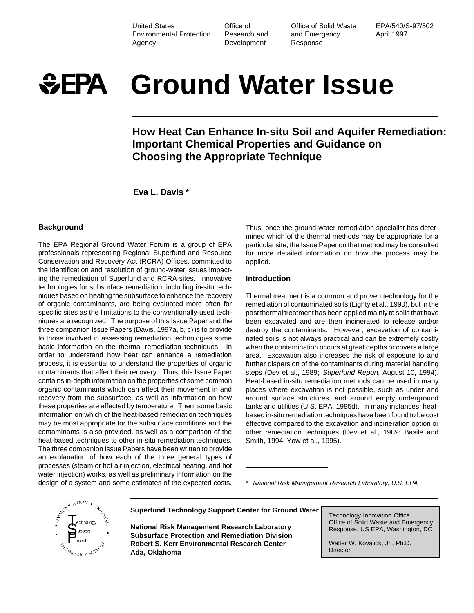United States Environmental Protection Agency

Office of Research and Development

Office of Solid Waste and Emergency Response

EPA/540/S-97/502 April 1997

# **Ground Water Issue**  $E$ EPA

**How Heat Can Enhance In-situ Soil and Aquifer Remediation: Important Chemical Properties and Guidance on Choosing the Appropriate Technique**

**Eva L. Davis \***

## **Background**

The EPA Regional Ground Water Forum is a group of EPA professionals representing Regional Superfund and Resource Conservation and Recovery Act (RCRA) Offices, committed to the identification and resolution of ground-water issues impacting the remediation of Superfund and RCRA sites. Innovative technologies for subsurface remediation, including in-situ techniques based on heating the subsurface to enhance the recovery of organic contaminants, are being evaluated more often for specific sites as the limitations to the conventionally-used techniques are recognized. The purpose of this Issue Paper and the three companion Issue Papers (Davis, 1997a, b, c) is to provide to those involved in assessing remediation technologies some basic information on the thermal remediation techniques. In order to understand how heat can enhance a remediation process, it is essential to understand the properties of organic contaminants that affect their recovery. Thus, this Issue Paper contains in-depth information on the properties of some common organic contaminants which can affect their movement in and recovery from the subsurface, as well as information on how these properties are affected by temperature. Then, some basic information on which of the heat-based remediation techniques may be most appropriate for the subsurface conditions and the contaminants is also provided, as well as a comparison of the heat-based techniques to other in-situ remediation techniques. The three companion Issue Papers have been written to provide an explanation of how each of the three general types of processes (steam or hot air injection, electrical heating, and hot water injection) works, as well as preliminary information on the design of a system and some estimates of the expected costs.

Thus, once the ground-water remediation specialist has determined which of the thermal methods may be appropriate for a particular site, the Issue Paper on that method may be consulted for more detailed information on how the process may be applied.

## **Introduction**

Thermal treatment is a common and proven technology for the remediation of contaminated soils (Lighty et al., 1990), but in the past thermal treatment has been applied mainly to soils that have been excavated and are then incinerated to release and/or destroy the contaminants. However, excavation of contaminated soils is not always practical and can be extremely costly when the contamination occurs at great depths or covers a large area. Excavation also increases the risk of exposure to and further dispersion of the contaminants during material handling steps (Dev et al., 1989; Superfund Report, August 10, 1994). Heat-based in-situ remediation methods can be used in many places where excavation is not possible, such as under and around surface structures, and around empty underground tanks and utilities (U.S. EPA, 1995d). In many instances, heatbased in-situ remediation techniques have been found to be cost effective compared to the excavation and incineration option or other remediation techniques (Dev et al., 1989; Basile and Smith, 1994; Yow et al., 1995).

\* National Risk Management Research Laboratory, U.S. EPA



**Superfund Technology Support Center for Ground Water**

**National Risk Management Research Laboratory Subsurface Protection and Remediation Division Robert S. Kerr Environmental Research Center Ada, Oklahoma**

Technology Innovation Office Office of Solid Waste and Emergency Response, US EPA, Washington, DC

Walter W. Kovalick, Jr., Ph.D. **Director**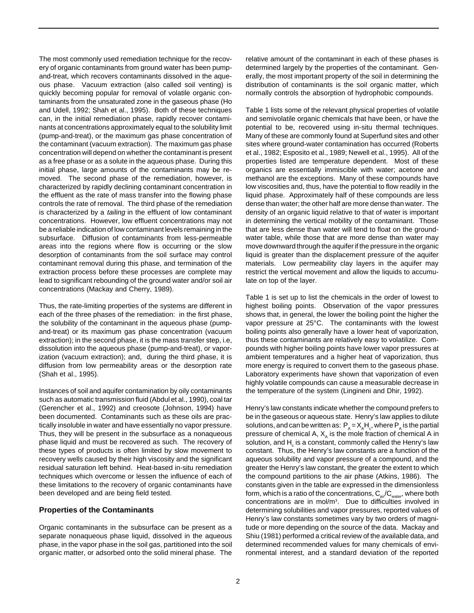The most commonly used remediation technique for the recovery of organic contaminants from ground water has been pumpand-treat, which recovers contaminants dissolved in the aqueous phase. Vacuum extraction (also called soil venting) is quickly becoming popular for removal of volatile organic contaminants from the unsaturated zone in the gaseous phase (Ho and Udell, 1992; Shah et al., 1995). Both of these techniques can, in the initial remediation phase, rapidly recover contaminants at concentrations approximately equal to the solubility limit (pump-and-treat), or the maximum gas phase concentration of the contaminant (vacuum extraction). The maximum gas phase concentration will depend on whether the contaminant is present as a free phase or as a solute in the aqueous phase. During this initial phase, large amounts of the contaminants may be removed. The second phase of the remediation, however, is characterized by rapidly declining contaminant concentration in the effluent as the rate of mass transfer into the flowing phase controls the rate of removal. The third phase of the remediation is characterized by a *tailing* in the effluent of low contaminant concentrations. However, low effluent concentrations may not be a reliable indication of low contaminant levels remaining in the subsurface. Diffusion of contaminants from less-permeable areas into the regions where flow is occurring or the slow desorption of contaminants from the soil surface may control contaminant removal during this phase, and termination of the extraction process before these processes are complete may lead to significant rebounding of the ground water and/or soil air concentrations (Mackay and Cherry, 1989).

Thus, the rate-limiting properties of the systems are different in each of the three phases of the remediation: in the first phase, the solubility of the contaminant in the aqueous phase (pumpand-treat) or its maximum gas phase concentration (vacuum extraction); in the second phase, it is the mass transfer step, i.e, dissolution into the aqueous phase (pump-and-treat), or vaporization (vacuum extraction); and, during the third phase, it is diffusion from low permeability areas or the desorption rate (Shah et al., 1995).

Instances of soil and aquifer contamination by oily contaminants such as automatic transmission fluid (Abdul et al., 1990), coal tar (Gerencher et al., 1992) and creosote (Johnson, 1994) have been documented. Contaminants such as these oils are practically insoluble in water and have essentially no vapor pressure. Thus, they will be present in the subsurface as a nonaqueous phase liquid and must be recovered as such. The recovery of these types of products is often limited by slow movement to recovery wells caused by their high viscosity and the significant residual saturation left behind. Heat-based in-situ remediation techniques which overcome or lessen the influence of each of these limitations to the recovery of organic contaminants have been developed and are being field tested.

## **Properties of the Contaminants**

Organic contaminants in the subsurface can be present as a separate nonaqueous phase liquid, dissolved in the aqueous phase, in the vapor phase in the soil gas, partitioned into the soil organic matter, or adsorbed onto the solid mineral phase. The

relative amount of the contaminant in each of these phases is determined largely by the properties of the contaminant. Generally, the most important property of the soil in determining the distribution of contaminants is the soil organic matter, which normally controls the absorption of hydrophobic compounds.

Table 1 lists some of the relevant physical properties of volatile and semivolatile organic chemicals that have been, or have the potential to be, recovered using in-situ thermal techniques. Many of these are commonly found at Superfund sites and other sites where ground-water contamination has occurred (Roberts et al., 1982; Esposito et al., 1989; Newell et al., 1995). All of the properties listed are temperature dependent. Most of these organics are essentially immiscible with water; acetone and methanol are the exceptions. Many of these compounds have low viscosities and, thus, have the potential to flow readily in the liquid phase. Approximately half of these compounds are less dense than water; the other half are more dense than water. The density of an organic liquid relative to that of water is important in determining the vertical mobility of the contaminant. Those that are less dense than water will tend to float on the groundwater table, while those that are more dense than water may move downward through the aquifer if the pressure in the organic liquid is greater than the displacement pressure of the aquifer materials. Low permeability clay layers in the aquifer may restrict the vertical movement and allow the liquids to accumulate on top of the layer.

Table 1 is set up to list the chemicals in the order of lowest to highest boiling points. Observation of the vapor pressures shows that, in general, the lower the boiling point the higher the vapor pressure at 25°C. The contaminants with the lowest boiling points also generally have a lower heat of vaporization, thus these contaminants are relatively easy to volatilize. Compounds with higher boiling points have lower vapor pressures at ambient temperatures and a higher heat of vaporization, thus more energy is required to convert them to the gaseous phase. Laboratory experiments have shown that vaporization of even highly volatile compounds can cause a measurable decrease in the temperature of the system (Lingineni and Dhir, 1992).

Henry's law constants indicate whether the compound prefers to be in the gaseous or aqueous state. Henry's law applies to dilute solutions, and can be written as:  $\mathsf{P}_{\sf A}\!=\!\mathsf{X}_{\sf A}\mathsf{H}_{\sf c}$ , where  $\mathsf{P}_{\sf A}$  is the partial pressure of chemical A,  $X_{\alpha}$  is the mole fraction of chemical A in solution, and  $\mathsf{H}_{_\mathrm{c}}$  is a constant, commonly called the Henry's law constant. Thus, the Henry's law constants are a function of the aqueous solubility and vapor pressure of a compound, and the greater the Henry's law constant, the greater the extent to which the compound partitions to the air phase (Atkins, 1986). The constants given in the table are expressed in the dimensionless form, which is a ratio of the concentrations,  $C_{air}/C_{water}$ , where both concentrations are in mol/m3. Due to difficulties involved in determining solubilities and vapor pressures, reported values of Henry's law constants sometimes vary by two orders of magnitude or more depending on the source of the data. Mackay and Shiu (1981) performed a critical review of the available data, and determined recommended values for many chemicals of environmental interest, and a standard deviation of the reported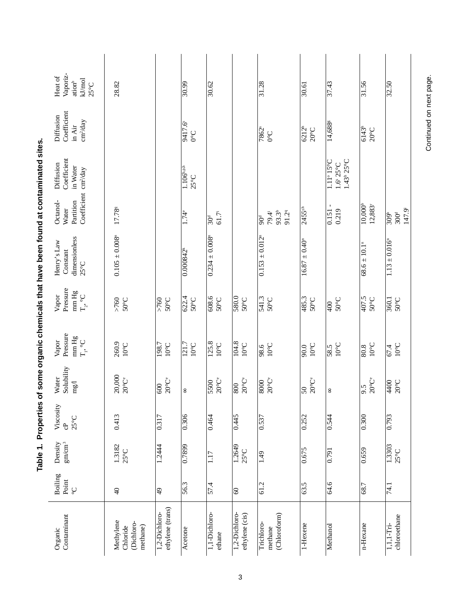|                                                               | Vaporiz-<br>Heat of<br>$kJ/mol$<br>25°C<br>ation <sup>b</sup>                                                                  | 28.82                                           |                                     | $\frac{30.99}{5}$                          | 30.62                          |                                      | $\frac{31.28}{ }$                                             | 30.61                                 | 37.43                                                                      | 31.56                                      | 32.50                                                   |
|---------------------------------------------------------------|--------------------------------------------------------------------------------------------------------------------------------|-------------------------------------------------|-------------------------------------|--------------------------------------------|--------------------------------|--------------------------------------|---------------------------------------------------------------|---------------------------------------|----------------------------------------------------------------------------|--------------------------------------------|---------------------------------------------------------|
|                                                               | Coefficient<br>Diffusion<br>$\mathrm{cm^{2}\!}/\mathrm{day}$<br>in Air                                                         |                                                 |                                     | $\frac{9417.6}{0^{\circ}C}$                |                                |                                      | $\frac{1}{1862}$                                              | $\overline{6212^h}$<br>$20^{\circ}$ C | $14,\overline{688^{\rm s}}$                                                | 6143 <sup>h</sup>                          |                                                         |
|                                                               | Coefficient<br>Diffusion<br>in Water<br>Coefficient cm <sup>2</sup> /day                                                       |                                                 |                                     | $1.106^{b,ph}$<br>$25^{\circ}$ C           |                                |                                      |                                                               |                                       | $1.43^{\rm h}$ 25°C<br>$1.11^\circ 15^\circ C$<br>$1.6^{\circ}25^{\circ}C$ |                                            |                                                         |
|                                                               | Octanol-<br>Partition<br>Water                                                                                                 | 17.789                                          |                                     | $\frac{1}{74}$                             | 61.7<br>$\overline{30}^a$      |                                      | $93.3^{b}$<br>91.29<br>79.4 <sup>i</sup><br>$\overline{90}^4$ | 2455th                                | $0.151 -$<br>0.219                                                         | 10,000 <sup>b</sup><br>12,883 <sup>r</sup> | 147.9 <sup>i</sup><br>$rac{1}{309}$<br>300 <sup>d</sup> |
| of some organic chemicals that new country are organizations. | dimensionless<br>Henry's Law<br>Constant<br>$25^{\circ}$ C                                                                     | $0.105 \pm 0.008$ <sup>n</sup>                  |                                     | 0.000842 <sup>k</sup>                      | $0.234 \pm 0.008$ <sup>n</sup> |                                      | $\frac{0.153 \pm 0.012^{n}}{0.012^{n}}$                       | $16.87 \pm 0.40^{\circ}$              |                                                                            | $68.6 \pm 10.1$ <sup>n</sup>               | $1.13 \pm 0.016$ <sup>m</sup>                           |
|                                                               | Pressure<br>$\begin{array}{c} \mathop{\rm mm}\limits_{\mathbf{T}_2,\bullet}\mathop{\rm H}_{\mathbf{C}}\\ \end{array}$<br>Vapor | $>760$<br>$50^{\circ}$ C                        | $50^{\circ}$ C<br>$\frac{60}{100}$  | $\frac{622.4}{ }$<br>$50^{\circ}$ C        | 9989<br>1999                   | 580.0<br>50°C                        | 541.3<br>50°C                                                 | 485.3<br>$50^{\circ}$ C               | $50^{\circ}$ C<br>$\frac{1}{2}$                                            | 407.5<br>$50^{\circ}$ C                    | $\frac{3601}{50^{\circ}C}$                              |
|                                                               | Pressure<br>$\begin{array}{c} \min \mathrm{Hg} \\ \mathrm{T_{i}}, \ ^{\mathrm{o}C} \end{array}$<br>Vapor                       | 260.9<br>$10^{\circ} \text{C}$                  | $\frac{198.7}{10^6}$                | $\frac{121.7}{ }$<br>$10^{\circ} \text{C}$ | 125.8<br>$10^{\circ}$ C        | $\frac{104.8}{ }$<br>$10^{\circ}$ C  | $10^{\circ}$ C<br>$\frac{986}{ }$                             | $10^{\circ}$ C<br>90.0                | $10^{\circ}$ C<br>58.5                                                     | $10^{\circ}$ C<br>80.8                     | $10^{\circ}$ C<br>67.4                                  |
|                                                               | Solubility<br>Water<br>mg/1                                                                                                    | 20,000<br>$20^{\circ}$ Ce                       | $20^{\circ}$ Ce<br>$\overline{600}$ | 8                                          | $\frac{1}{550}$                | $20^{\circ}$ Ce<br>$\frac{008}{100}$ | $20^{\rm o}{\rm C}^{\rm e}$<br>8000                           | $20^{\circ}$ Ce<br>$50\,$             | 8                                                                          | $9.5$<br>20°C°                             | 4400<br>$20^{\circ}$ C                                  |
| lable 1. Properties                                           | Viscosity<br>$25^{\circ}$ C<br>ස                                                                                               | 0.413                                           | $\frac{0.317}{0.317}$               | $\frac{1}{0.306}$                          | 0.464                          | $\frac{6}{145}$                      | $\frac{0.537}{2}$                                             | 0.252                                 | 0.544                                                                      | 0.300                                      | 0.793                                                   |
|                                                               | Density<br>$\rm gm/cm^3$                                                                                                       | 1.3182<br>$25^{\circ}$ C                        | 1.2444                              | $\frac{6682}{0}$                           | 1.17                           | 1.2649<br>$25^{\circ}$ C             | 1.49                                                          | 0.675                                 | $\frac{1}{2}$                                                              | 0.659                                      | 1.3303<br>$25^{\circ}$ C                                |
|                                                               | Boiling<br>Point<br>$\mathop{\mathbb{C}}$                                                                                      | $\overline{40}$                                 | 4                                   | 56.3                                       | $\frac{57.4}{57.4}$            | ၆                                    | $\overline{61.2}$                                             | 63.5                                  | 64.6                                                                       | 68.7                                       | 74.1                                                    |
|                                                               | Contaminant<br>Organic                                                                                                         | Methylene<br>(Dichloro-<br>methane)<br>Chloride | ethylene (trans)<br>1,2-Dichloro-   | Acetone                                    | 1,1-Dichloro-<br>ethane        | 1,2-Dichloro-<br>ethylene (cis)      | (Chloroform)<br>Trichloro-<br>methane                         | 1-Hexene                              | Methanol                                                                   | n-Hexane                                   | chloroethane<br>1,1,1-Tri-                              |

Continued on next page.

d at contaminated sites ana fo d aveq tedt aleaim ć  $\frac{1}{2}$ Table 1 Properties of

 $\overline{3}$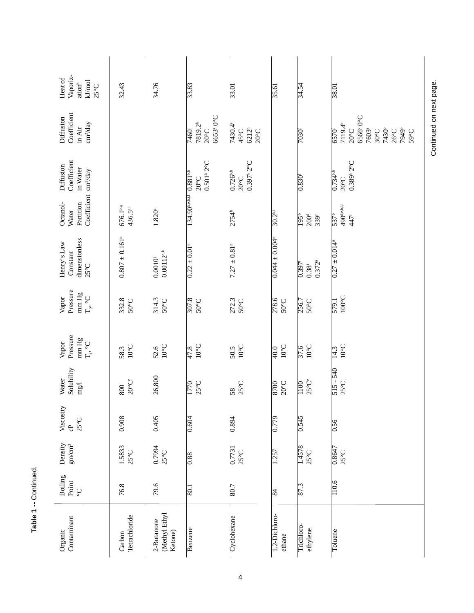| 34.76<br>32.43<br>33.83<br>34.54<br>$\frac{38.01}{38.01}$<br>33.01<br>$\frac{35.61}{2}$<br>6653 <sup>s</sup> 0°C<br>6566° 0°C<br>7819.2h<br>7119.4h<br>7430.4 <sup>s</sup><br>$6212^{\rm h}$<br>7430°<br>7949°<br>7603 <sup>s</sup><br>45°C<br>$20^{\circ} \text{C}$<br>$20^{\circ}$ C<br>7460 <sup>f</sup><br>$\overline{7030}$ <sup>r</sup><br>6570 <sup>r</sup><br>$20^{\circ}$ C<br>$30^{\circ}$ C<br>$26^{\circ}$ C<br>$59^{\circ}C$<br>$0.397^{\rm h}$ 2°C<br>0.501 <sup>h</sup> 2 <sup>o</sup> C<br>0.389 <sup>h</sup> 2 <sup>o</sup> C<br>134.90b,c.h.i.l 0.881b,h<br>$0.726^{\rm bh}$<br>$0.734^{\text{bh}}$<br>$0.830^{t}$<br>$20^{\circ}$ C<br>$20^{\circ}$ C<br>$20^{\circ}$ C<br>490 <sup>de.hil</sup><br>$676.1^{b,q}$<br>436.5 <sup>e,i</sup><br>$1.820^{\circ}$<br>$30.2^{bi}$<br>2754 <sup>h</sup><br>537 <sup>b</sup><br>$\frac{195}{b}$<br>200 <sup>d</sup><br>339r<br>447<br>$0.807 \pm 0.161$ <sup>n</sup><br>$0.044 \pm 0.004$ <sup>n</sup><br>$\overline{0.27 \pm 0.014^{\circ}}$<br>$0.22 \pm 0.01$ <sup>n</sup><br>$7.27 \pm 0.81$ <sup>n</sup><br>$0.00112^{c,k}$<br>$0.0010^{j}$<br>$0.372^{a}$<br>$0.397^{\rm f}$<br>$0.38^{i}$<br>$100^{\circ}$ C<br>272.3<br>332.8<br>307.8<br>314.3<br>278.6<br>579.1<br>$50^{\circ}$ C<br>$50^{\circ}$ C<br>$50^{\circ}$ C<br>$50^{\circ}$ C<br>$50^{\circ}$ C<br>256.7<br>$50^{\circ}$ C<br>$10^{\circ}$ C<br>$10^{\circ}$ C<br>$10^{\circ}$ C<br>$10^{\circ}$ C<br>$10^{\circ}$ C<br>$10^{\circ}$ C<br>$10^{\circ}$ C<br>52.6<br>$rac{9}{25}$<br>58.3<br>$\overline{50.5}$<br>$\sqrt{14.3}$<br>47.8<br>$\frac{40.0}{\pi}$<br>$515 - 540$<br>26,800<br>$20^{\circ}$ Ce<br>$25^{\circ}$ Ce<br>$20^{\circ}$ C<br>$25^{\circ}$ C<br>$25^{\circ}$ C<br>$25^{\circ}$ C<br>$\frac{100}{2}$<br>1770<br>8700<br>800<br>$\frac{8}{3}$<br>0.405<br>0.545<br>0.908<br>$\frac{621}{2}$<br>0.894<br>0.604<br>$\frac{950}{2}$<br>1.5833<br>$25^{\circ}$ C | Boiling<br>Point<br>$\mathop{\mathcal{C}}$ | Density<br>$\mathrm{gm/cm}^3$             | Viscosity<br>$25^{\circ}$ C<br>e<br>C | Solubility<br>Water<br>$\rm{mg}$ | Pressure<br>$\rm mm\,Hg$<br>$T_{i}, C$<br>Vapor | Pressure<br>$\rm mm\,Hg$<br>$\mathbb{T}_{2^*}\circ\mathbb{C}$<br>Vapor | dimensionless<br>Henry's Law<br>Constant<br>$25^{\circ}$ C | Coefficient cm <sup>2/day</sup><br>Octanol-<br>Partition<br>Water | Coefficient<br>Diffusion<br>in Water | Coefficient<br>Diffusion<br>cm <sup>2</sup> /day<br>in Air | Vaporiz-<br>Heat of<br>$kJ/mol$<br>25°C<br>ation <sup>b</sup> |
|--------------------------------------------------------------------------------------------------------------------------------------------------------------------------------------------------------------------------------------------------------------------------------------------------------------------------------------------------------------------------------------------------------------------------------------------------------------------------------------------------------------------------------------------------------------------------------------------------------------------------------------------------------------------------------------------------------------------------------------------------------------------------------------------------------------------------------------------------------------------------------------------------------------------------------------------------------------------------------------------------------------------------------------------------------------------------------------------------------------------------------------------------------------------------------------------------------------------------------------------------------------------------------------------------------------------------------------------------------------------------------------------------------------------------------------------------------------------------------------------------------------------------------------------------------------------------------------------------------------------------------------------------------------------------------------------------------------------------------------------------------------------------------------------------------------------------------------------------------------------------------------------------------------|--------------------------------------------|-------------------------------------------|---------------------------------------|----------------------------------|-------------------------------------------------|------------------------------------------------------------------------|------------------------------------------------------------|-------------------------------------------------------------------|--------------------------------------|------------------------------------------------------------|---------------------------------------------------------------|
|                                                                                                                                                                                                                                                                                                                                                                                                                                                                                                                                                                                                                                                                                                                                                                                                                                                                                                                                                                                                                                                                                                                                                                                                                                                                                                                                                                                                                                                                                                                                                                                                                                                                                                                                                                                                                                                                                                              |                                            |                                           |                                       |                                  |                                                 |                                                                        |                                                            |                                                                   |                                      |                                                            |                                                               |
|                                                                                                                                                                                                                                                                                                                                                                                                                                                                                                                                                                                                                                                                                                                                                                                                                                                                                                                                                                                                                                                                                                                                                                                                                                                                                                                                                                                                                                                                                                                                                                                                                                                                                                                                                                                                                                                                                                              |                                            | 0.7994<br>$25^{\circ}$ C                  |                                       |                                  |                                                 |                                                                        |                                                            |                                                                   |                                      |                                                            |                                                               |
|                                                                                                                                                                                                                                                                                                                                                                                                                                                                                                                                                                                                                                                                                                                                                                                                                                                                                                                                                                                                                                                                                                                                                                                                                                                                                                                                                                                                                                                                                                                                                                                                                                                                                                                                                                                                                                                                                                              |                                            | 0.88                                      |                                       |                                  |                                                 |                                                                        |                                                            |                                                                   |                                      |                                                            |                                                               |
|                                                                                                                                                                                                                                                                                                                                                                                                                                                                                                                                                                                                                                                                                                                                                                                                                                                                                                                                                                                                                                                                                                                                                                                                                                                                                                                                                                                                                                                                                                                                                                                                                                                                                                                                                                                                                                                                                                              |                                            | $\frac{0.7731}{0.7731}$<br>$25^{\circ}$ C |                                       |                                  |                                                 |                                                                        |                                                            |                                                                   |                                      |                                                            |                                                               |
|                                                                                                                                                                                                                                                                                                                                                                                                                                                                                                                                                                                                                                                                                                                                                                                                                                                                                                                                                                                                                                                                                                                                                                                                                                                                                                                                                                                                                                                                                                                                                                                                                                                                                                                                                                                                                                                                                                              |                                            | 1.257                                     |                                       |                                  |                                                 |                                                                        |                                                            |                                                                   |                                      |                                                            |                                                               |
|                                                                                                                                                                                                                                                                                                                                                                                                                                                                                                                                                                                                                                                                                                                                                                                                                                                                                                                                                                                                                                                                                                                                                                                                                                                                                                                                                                                                                                                                                                                                                                                                                                                                                                                                                                                                                                                                                                              |                                            | 1.4578<br>$25^{\circ}$ C                  |                                       |                                  |                                                 |                                                                        |                                                            |                                                                   |                                      |                                                            |                                                               |
|                                                                                                                                                                                                                                                                                                                                                                                                                                                                                                                                                                                                                                                                                                                                                                                                                                                                                                                                                                                                                                                                                                                                                                                                                                                                                                                                                                                                                                                                                                                                                                                                                                                                                                                                                                                                                                                                                                              |                                            | $\frac{0.8647}{25^{\circ}C}$              |                                       |                                  |                                                 |                                                                        |                                                            |                                                                   |                                      |                                                            |                                                               |

Table 1 -- Continued.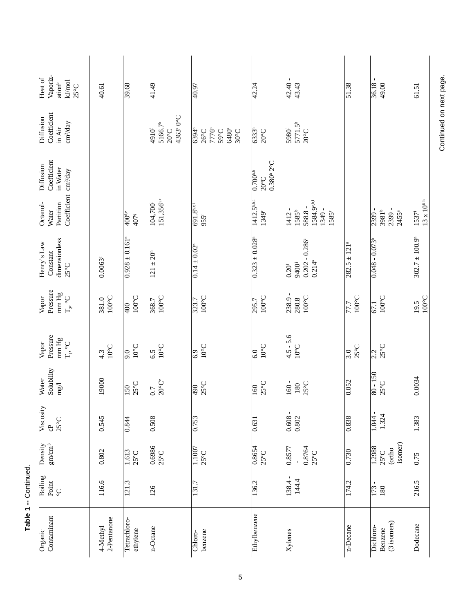| Vaporiz-<br>Heat of<br>kJ/mol<br>$\rm{a}tion^b$<br>$25^{\circ}$ C  | 40.61                    | 39.68                                       | 41.49                                                                                | 40.97                                                               | 42.24                                                                 | 42.40 -<br>43.43                                                         | 51.38                                         | 49.00<br>36.18                                 | 61.51                                             |
|--------------------------------------------------------------------|--------------------------|---------------------------------------------|--------------------------------------------------------------------------------------|---------------------------------------------------------------------|-----------------------------------------------------------------------|--------------------------------------------------------------------------|-----------------------------------------------|------------------------------------------------|---------------------------------------------------|
| Coefficient<br>Diffusion<br>$cm^2$ /day<br>in Air                  |                          |                                             | 4363 <sup>s</sup> 0°C<br>5166.7 <sup>th</sup><br>$20^{\circ}$ C<br>4910 <sup>f</sup> | 7776°<br>6394°<br>6480°<br>59°C<br>$26^{\circ}$ C<br>$30^{\circ}$ C | $\overline{6333}$ <sup>h</sup><br>$20^{\circ}$ C                      | $5771.5^h$<br>5980 <sup>r</sup><br>$20^{\circ}$ C                        |                                               |                                                |                                                   |
| Coefficient<br>Diffusion<br>in Water                               |                          |                                             |                                                                                      |                                                                     | $0.380$ <sup>h</sup> 2°C<br>$\frac{1}{0.700^{b,h}}$<br>$20^{\circ}$ C |                                                                          |                                               |                                                |                                                   |
| Coefficient cm <sup>2</sup> /day<br>Octanol-<br>Partition<br>Water |                          | $\frac{1}{400}$ d,e<br>$407q$               | 151,356h.r<br>104,700                                                                | 691.8b,e.i<br>955                                                   | $1412.5^{\text{b,h,i}}$<br>1349                                       | 1584.9e.h.1<br>588.8 -<br>1349 -<br>$\sqrt{1412 -$<br>$1585^b$<br>1585   |                                               | 2399 -<br>2399 -<br>3981b<br>2455 <sup>e</sup> | $13 \times 10^{6 \text{ h}}$<br>1537 <sup>1</sup> |
| dimensionless<br>Henry's Law<br>Constant<br>$25^{\circ}$ C         | $0.0063^{\circ}$         | $0.928 \pm 0.161$ <sup>n</sup>              | $\frac{121 \pm 20^{n}}{n}$                                                           | $0.14 \pm 0.02$ <sup>n</sup>                                        | $0.323 \pm 0.028$                                                     | $0.202 - 0.286$<br>$0.214^{a}$<br>9400 <sup>i</sup><br>$\overline{0.20}$ | $\frac{282.5 \pm 121^{n}}{282.5 \pm 121^{n}}$ | $0.048 - 0.073$ <sup>b</sup>                   | $302.7 \pm 100.9$ <sup>n</sup>                    |
| Pressure<br>$\rm mm\,Hg$<br>Vapor<br>$\Gamma_{2}$ °C               | $100^{\circ}$ C<br>381.0 | $100^{\circ}$ C<br>$\frac{1}{2}$            | $100^{\circ}$ C<br>368.7                                                             | $100^{\circ}$ C<br>323.7                                            | $100^{\circ}$ C<br>295.7                                              | $238.9 -$<br>$100^{\circ}$ C<br>280.8                                    | $100^{\circ}$ C<br>77.7                       | $100^{\circ}$ C<br>67.1                        | $100^{\circ}$ C<br>19.5                           |
| Pressure<br>$\rm mm \, Hg$<br>$T_{_{\rm P}}$ °C<br>Vapor           | $10^{\circ}$ C<br>4.3    | $10^{\circ}$ C<br>9.0                       | $10^{\circ}$ C<br>6.5                                                                | $10^{\circ}$ C<br>6.9                                               | $10^{\circ}$ C<br>6.0                                                 | $4.5 - 5.6$<br>$10^{\circ}$ C                                            | $25^{\circ}$ C<br>3.0                         | $25^{\circ}$ C<br>2.2                          |                                                   |
| Solubility<br>Water<br>mg/1                                        | 19000                    | $25^{\circ}$ C<br>$\overline{\frac{50}{2}}$ | $20^{\circ}$ Ce<br>$\overline{0.7}$                                                  | $25^{\circ}$ C<br>490                                               | $25^{\circ}$ C<br>160                                                 | 160 -<br>$25^{\circ}C$<br>180                                            | 0.052                                         | $80 - 150$<br>$25^{\circ}$ C                   | $\frac{0.0034}{$                                  |
| Viscosity<br>$25^{\circ}$ C<br>၉<br>၁                              | 0.545                    | 0.844                                       | 0.508                                                                                | $\frac{0.753}{2}$                                                   | 0.631                                                                 | $\blacksquare$<br>$0.608 -$<br>0.802                                     | 0.838                                         | 1.324<br>1.044                                 | 1.383                                             |
| Density<br>$\rm gm/cm^3$                                           | 0.802                    | 1.613<br>$25^{\circ}$ C                     | 0.6986<br>$25^{\circ}$ C                                                             | 1.1007<br>$25^{\circ}$ C                                            | 0.8654<br>$25^{\circ}$ C                                              | 0.8764<br>0.8577<br>$25^{\circ}$ C                                       | $\frac{0.730}{2}$                             | isomer)<br>1.2988<br>(ortho<br>$25^{\circ}$ C  | $\frac{6}{15}$                                    |
| Boiling<br>Point<br>$\mathop{\circ}_{\circ}$                       | 116.6                    | 121.3                                       | 126                                                                                  | 131.7                                                               | 136.2                                                                 | $\blacksquare$<br>144.4<br>138.4                                         | 174.2                                         | 173<br>180                                     | 216.5                                             |
| Contaminant<br>Organic                                             | 2-Pentanone<br>4-Methyl  | Tetrachloro-<br>ethylene                    | n-Octane                                                                             | benzene<br>Chloro-                                                  | Ethylbenzene                                                          | $\overline{X}$ ylenes                                                    | n-Decane                                      | (3 isomers)<br>Dichloro-<br>Benzene            | Dodecane                                          |

Continued on next page.

Table 1 -- Continued.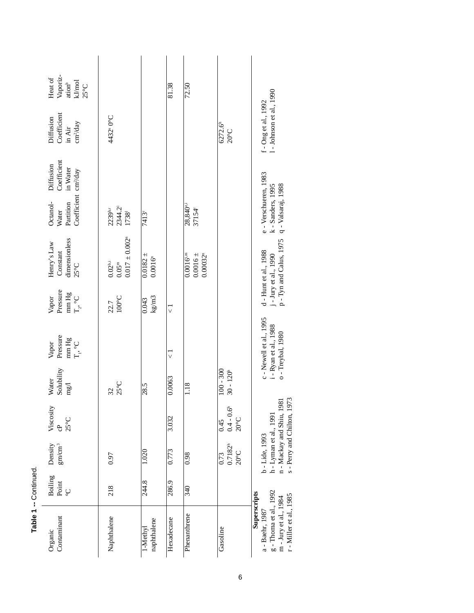| Vaporiz-<br>Heat of<br>ation <sup>b</sup><br>kJ/mol<br>25°C                                                              |                                                                      |                                     | 81.38              | 72.50                                                  |                                        |                                                                                                               |
|--------------------------------------------------------------------------------------------------------------------------|----------------------------------------------------------------------|-------------------------------------|--------------------|--------------------------------------------------------|----------------------------------------|---------------------------------------------------------------------------------------------------------------|
| Coefficient<br>Diffusion<br>cm <sup>2</sup> /day<br>in Air                                                               | 4432 <sup>s</sup> 0°C                                                |                                     |                    |                                                        | 6272.6 <sup>h</sup><br>$20^{\circ}$ C  | 1 - Johnson et al., 1990<br>f - Ong et al., 1992                                                              |
| Coefficient<br>Diffusion<br>in Water                                                                                     |                                                                      |                                     |                    |                                                        |                                        |                                                                                                               |
| Coefficient cm <sup>2</sup> /day<br>Octanol-<br>Partition<br>Water                                                       | 2344.2 <sup>i</sup><br>1738 <sup>1</sup><br>$2239$ b.r               | 7413 <sup>r</sup>                   |                    | 28,840 <sup>e,i</sup><br>37154 <sup>r</sup>            |                                        | e - Verschueren, 1983<br>q - Valsaraj, 1988<br>k - Sanders, 1995                                              |
| dimensionless<br>Henry's Law<br>Constant<br>$25^{\circ}$ C                                                               | $0.017 \pm 0.002$ <sup>n</sup><br>$0.02^{\rm b,i}$<br>$0.05^{\rm m}$ | $0.0182 +$<br>$0.0016$ <sup>m</sup> |                    | $0.0016 \pm$<br>$0.0016^{4,m}$<br>0.00032 <sup>n</sup> |                                        | p - Tyn and Calus, 1975<br>d - Hunt et al., 1988<br>j - Jury et al., 1990                                     |
| Pressure<br>$\begin{array}{c} \min \mathrm{Hg} \\ \mathrm{T}_2 \circ \mathrm{C} \end{array}$<br>Vapor                    | $100^{\circ}$ C<br>22.7                                              | $\mathrm{kg}/\mathrm{m}3$<br>0.043  | $\vec{\mathbf{v}}$ |                                                        |                                        |                                                                                                               |
| Pressure<br>$\begin{array}{c} \min \mathbf{H}\mathbf{g} \\ \mathbf{T}_1, \ ^{\mathrm{o}}\mathbf{C} \end{array}$<br>Vapor |                                                                      |                                     | マ                  |                                                        |                                        | c - Newell et al., 1995<br>i - Ryan et al., 1988<br>o - Treybal, 1980                                         |
| Solubility<br>Water<br>mg/1                                                                                              | $25^{\circ}$ C<br>32                                                 | 28.5                                | 0.0063             | 1.18                                                   | $100 - 300$<br>$30 - 120h$             |                                                                                                               |
| Viscosity<br>$25^{\circ}$ C<br>සි                                                                                        |                                                                      |                                     | 3.032              |                                                        | $0.4 - 0.6h$<br>20°C<br>0.45           | n - Mackay and Shiu, 1981<br>s - Perry and Chilton, 1973                                                      |
| Density<br>gm/cm <sup>3</sup>                                                                                            | 0.97                                                                 | 1.020                               | 0.773              | 0.98                                                   | $0.7182^{h}$<br>$20^{\circ}$ C<br>0.73 | h - Lyman et al., 1991<br>b - Lide, 1993                                                                      |
| <b>Boiling</b><br>Point<br>$\overset{\circ}{\mathsf{C}}$                                                                 | 218                                                                  | 244.8                               | 286.9              | 340                                                    |                                        |                                                                                                               |
| Contaminant<br>Organic                                                                                                   | Naphthalene                                                          | naphthalene<br>1-Methyl             | Hexadecane         | Phenanthrene                                           | Gasoline                               | g - Thoma et al., 1992<br>Superscripts<br>r - Miller et al., 1985<br>m - Jury et al., 1984<br>a - Baehr, 1987 |

Table 1 -- Continued.

 $\overline{6}$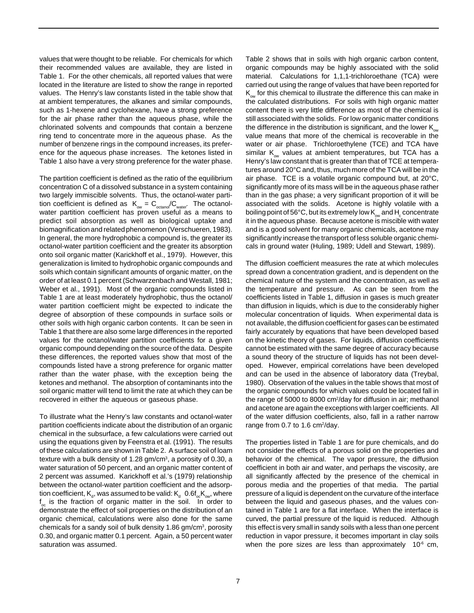values that were thought to be reliable. For chemicals for which their recommended values are available, they are listed in Table 1. For the other chemicals, all reported values that were located in the literature are listed to show the range in reported values. The Henry's law constants listed in the table show that at ambient temperatures, the alkanes and similar compounds, such as 1-hexene and cyclohexane, have a strong preference for the air phase rather than the aqueous phase, while the chlorinated solvents and compounds that contain a benzene ring tend to concentrate more in the aqueous phase. As the number of benzene rings in the compound increases, its preference for the aqueous phase increases. The ketones listed in Table 1 also have a very strong preference for the water phase.

The partition coefficient is defined as the ratio of the equilibrium concentration C of a dissolved substance in a system containing two largely immiscible solvents. Thus, the octanol-water partition coefficient is defined as  $K_{ow} = C_{octano}/C_{water}$ . The octanolwater partition coefficient has proven useful as a means to predict soil absorption as well as biological uptake and biomagnification and related phenomenon (Verschueren, 1983). In general, the more hydrophobic a compound is, the greater its octanol-water partition coefficient and the greater its absorption onto soil organic matter (Karickhoff et al., 1979). However, this generalization is limited to hydrophobic organic compounds and soils which contain significant amounts of organic matter, on the order of at least 0.1 percent (Schwarzenbach and Westall, 1981; Weber et al., 1991). Most of the organic compounds listed in Table 1 are at least moderately hydrophobic, thus the octanol/ water partition coefficient might be expected to indicate the degree of absorption of these compounds in surface soils or other soils with high organic carbon contents. It can be seen in Table 1 that there are also some large differences in the reported values for the octanol/water partition coefficients for a given organic compound depending on the source of the data. Despite these differences, the reported values show that most of the compounds listed have a strong preference for organic matter rather than the water phase, with the exception being the ketones and methanol. The absorption of contaminants into the soil organic matter will tend to limit the rate at which they can be recovered in either the aqueous or gaseous phase.

To illustrate what the Henry's law constants and octanol-water partition coefficients indicate about the distribution of an organic chemical in the subsurface, a few calculations were carried out using the equations given by Feenstra et al. (1991). The results of these calculations are shown in Table 2. A surface soil of loam texture with a bulk density of 1.28 gm/cm3, a porosity of 0.30, a water saturation of 50 percent, and an organic matter content of 2 percent was assumed. Karickhoff et al.'s (1979) relationship between the octanol-water partition coefficient and the adsorption coefficient,  $\mathsf{K}_{_\mathrm{d}}$ , was assumed to be valid:  $\mathsf{K}_{_\mathrm{d}}$   $\,$  0.6f $_{\mathrm{o}}\!\mathsf{K}_{_\mathrm{ow}}$ , where f<sub>oc</sub> is the fraction of organic matter in the soil. In order to demonstrate the effect of soil properties on the distribution of an organic chemical, calculations were also done for the same chemicals for a sandy soil of bulk density  $1.86$  gm/cm<sup>3</sup>, porosity 0.30, and organic matter 0.1 percent. Again, a 50 percent water saturation was assumed.

Table 2 shows that in soils with high organic carbon content, organic compounds may be highly associated with the solid material. Calculations for 1,1,1-trichloroethane (TCA) were carried out using the range of values that have been reported for  $K_{\infty}$  for this chemical to illustrate the difference this can make in the calculated distributions. For soils with high organic matter content there is very little difference as most of the chemical is still associated with the solids. For low organic matter conditions the difference in the distribution is significant, and the lower  $K_{\infty}$ value means that more of the chemical is recoverable in the water or air phase. Trichloroethylene (TCE) and TCA have similar  $K_{\infty}$  values at ambient temperatures, but TCA has a Henry's law constant that is greater than that of TCE at temperatures around 20°C and, thus, much more of the TCA will be in the air phase. TCE is a volatile organic compound but, at 20°C, significantly more of its mass will be in the aqueous phase rather than in the gas phase; a very significant proportion of it will be associated with the solids. Acetone is highly volatile with a boiling point of 56°C, but its extremely low  $K_{ow}$  and  $H_{c}$  concentrate it in the aqueous phase. Because acetone is miscible with water and is a good solvent for many organic chemicals, acetone may significantly increase the transport of less soluble organic chemicals in ground water (Huling, 1989; Udell and Stewart, 1989).

The diffusion coefficient measures the rate at which molecules spread down a concentration gradient, and is dependent on the chemical nature of the system and the concentration, as well as the temperature and pressure. As can be seen from the coefficients listed in Table 1, diffusion in gases is much greater than diffusion in liquids, which is due to the considerably higher molecular concentration of liquids. When experimental data is not available, the diffusion coefficient for gases can be estimated fairly accurately by equations that have been developed based on the kinetic theory of gases. For liquids, diffusion coefficients cannot be estimated with the same degree of accuracy because a sound theory of the structure of liquids has not been developed. However, empirical correlations have been developed and can be used in the absence of laboratory data (Treybal, 1980). Observation of the values in the table shows that most of the organic compounds for which values could be located fall in the range of 5000 to 8000 cm2 /day for diffusion in air; methanol and acetone are again the exceptions with larger coefficients. All of the water diffusion coefficients, also, fall in a rather narrow range from  $0.7$  to 1.6 cm<sup>2</sup>/day.

The properties listed in Table 1 are for pure chemicals, and do not consider the effects of a porous solid on the properties and behavior of the chemical. The vapor pressure, the diffusion coefficient in both air and water, and perhaps the viscosity, are all significantly affected by the presence of the chemical in porous media and the properties of that media. The partial pressure of a liquid is dependent on the curvature of the interface between the liquid and gaseous phases, and the values contained in Table 1 are for a flat interface. When the interface is curved, the partial pressure of the liquid is reduced. Although this effect is very small in sandy soils with a less than one percent reduction in vapor pressure, it becomes important in clay soils when the pore sizes are less than approximately  $10<sup>-6</sup>$  cm,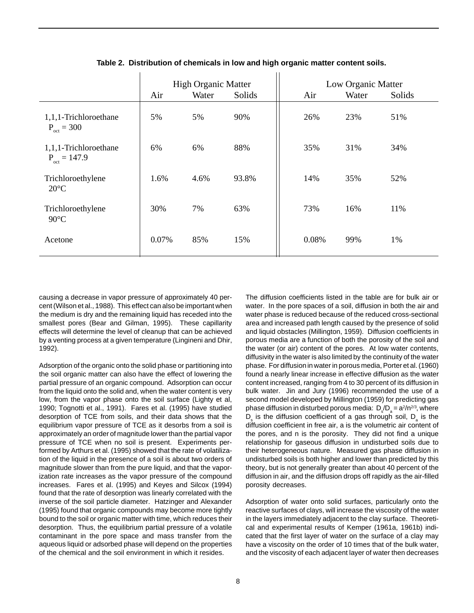|                                                   |       | <b>High Organic Matter</b> |        |       | Low Organic Matter |        |
|---------------------------------------------------|-------|----------------------------|--------|-------|--------------------|--------|
|                                                   | Air   | Water                      | Solids | Air   | Water              | Solids |
| 1,1,1-Trichloroethane<br>$P_{\text{oct}} = 300$   | 5%    | 5%                         | 90%    | 26%   | 23%                | 51%    |
| 1,1,1-Trichloroethane<br>$P_{\text{oct}} = 147.9$ | 6%    | 6%                         | 88%    | 35%   | 31%                | 34%    |
| Trichloroethylene<br>$20^{\circ}$ C               | 1.6%  | 4.6%                       | 93.8%  | 14%   | 35%                | 52%    |
| Trichloroethylene<br>$90^{\circ}$ C               | 30%   | 7%                         | 63%    | 73%   | 16%                | 11%    |
| Acetone                                           | 0.07% | 85%                        | 15%    | 0.08% | 99%                | 1%     |

**Table 2. Distribution of chemicals in low and high organic matter content soils.**

causing a decrease in vapor pressure of approximately 40 percent (Wilson et al., 1988). This effect can also be important when the medium is dry and the remaining liquid has receded into the smallest pores (Bear and Gilman, 1995). These capillarity effects will determine the level of cleanup that can be achieved by a venting process at a given temperature (Lingineni and Dhir, 1992).

Adsorption of the organic onto the solid phase or partitioning into the soil organic matter can also have the effect of lowering the partial pressure of an organic compound. Adsorption can occur from the liquid onto the solid and, when the water content is very low, from the vapor phase onto the soil surface (Lighty et al, 1990; Tognotti et al., 1991). Fares et al. (1995) have studied desorption of TCE from soils, and their data shows that the equilibrium vapor pressure of TCE as it desorbs from a soil is approximately an order of magnitude lower than the partial vapor pressure of TCE when no soil is present. Experiments performed by Arthurs et al. (1995) showed that the rate of volatilization of the liquid in the presence of a soil is about two orders of magnitude slower than from the pure liquid, and that the vaporization rate increases as the vapor pressure of the compound increases. Fares et al. (1995) and Keyes and Silcox (1994) found that the rate of desorption was linearly correlated with the inverse of the soil particle diameter. Hatzinger and Alexander (1995) found that organic compounds may become more tightly bound to the soil or organic matter with time, which reduces their desorption. Thus, the equilibrium partial pressure of a volatile contaminant in the pore space and mass transfer from the aqueous liquid or adsorbed phase will depend on the properties of the chemical and the soil environment in which it resides.

The diffusion coefficients listed in the table are for bulk air or water. In the pore spaces of a soil, diffusion in both the air and water phase is reduced because of the reduced cross-sectional area and increased path length caused by the presence of solid and liquid obstacles (Millington, 1959). Diffusion coefficients in porous media are a function of both the porosity of the soil and the water (or air) content of the pores. At low water contents, diffusivity in the water is also limited by the continuity of the water phase. For diffusion in water in porous media, Porter et al. (1960) found a nearly linear increase in effective diffusion as the water content increased, ranging from 4 to 30 percent of its diffusion in bulk water. Jin and Jury (1996) recommended the use of a second model developed by Millington (1959) for predicting gas phase diffusion in disturbed porous media:  $\mathsf{D}_{\rule{0pt}{3pt}{}_{\mathsf{S}}}\mathsf{D}_{\mathsf{a}}=\mathsf{a}^{2}/\mathsf{n}^{2/3},$  where  $D_{\rm s}$  is the diffusion coefficient of a gas through soil,  $D_{\rm a}$  is the diffusion coefficient in free air, a is the volumetric air content of the pores, and n is the porosity. They did not find a unique relationship for gaseous diffusion in undisturbed soils due to their heterogeneous nature. Measured gas phase diffusion in undisturbed soils is both higher and lower than predicted by this theory, but is not generally greater than about 40 percent of the diffusion in air, and the diffusion drops off rapidly as the air-filled porosity decreases.

Adsorption of water onto solid surfaces, particularly onto the reactive surfaces of clays, will increase the viscosity of the water in the layers immediately adjacent to the clay surface. Theoretical and experimental results of Kemper (1961a, 1961b) indicated that the first layer of water on the surface of a clay may have a viscosity on the order of 10 times that of the bulk water, and the viscosity of each adjacent layer of water then decreases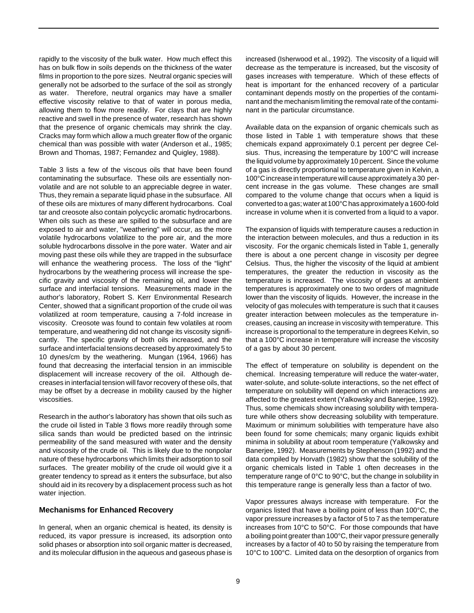rapidly to the viscosity of the bulk water. How much effect this has on bulk flow in soils depends on the thickness of the water films in proportion to the pore sizes. Neutral organic species will generally not be adsorbed to the surface of the soil as strongly as water. Therefore, neutral organics may have a smaller effective viscosity relative to that of water in porous media, allowing them to flow more readily. For clays that are highly reactive and swell in the presence of water, research has shown that the presence of organic chemicals may shrink the clay. Cracks may form which allow a much greater flow of the organic chemical than was possible with water (Anderson et al., 1985; Brown and Thomas, 1987; Fernandez and Quigley, 1988).

Table 3 lists a few of the viscous oils that have been found contaminating the subsurface. These oils are essentially nonvolatile and are not soluble to an appreciable degree in water. Thus, they remain a separate liquid phase in the subsurface. All of these oils are mixtures of many different hydrocarbons. Coal tar and creosote also contain polycyclic aromatic hydrocarbons. When oils such as these are spilled to the subsurface and are exposed to air and water, "weathering" will occur, as the more volatile hydrocarbons volatilize to the pore air, and the more soluble hydrocarbons dissolve in the pore water. Water and air moving past these oils while they are trapped in the subsurface will enhance the weathering process. The loss of the "light" hydrocarbons by the weathering process will increase the specific gravity and viscosity of the remaining oil, and lower the surface and interfacial tensions. Measurements made in the author's laboratory, Robert S. Kerr Environmental Research Center, showed that a significant proportion of the crude oil was volatilized at room temperature, causing a 7-fold increase in viscosity. Creosote was found to contain few volatiles at room temperature, and weathering did not change its viscosity significantly. The specific gravity of both oils increased, and the surface and interfacial tensions decreased by approximately 5 to 10 dynes/cm by the weathering. Mungan (1964, 1966) has found that decreasing the interfacial tension in an immiscible displacement will increase recovery of the oil. Although decreases in interfacial tension will favor recovery of these oils, that may be offset by a decrease in mobility caused by the higher viscosities.

Research in the author's laboratory has shown that oils such as the crude oil listed in Table 3 flows more readily through some silica sands than would be predicted based on the intrinsic permeability of the sand measured with water and the density and viscosity of the crude oil. This is likely due to the nonpolar nature of these hydrocarbons which limits their adsorption to soil surfaces. The greater mobility of the crude oil would give it a greater tendency to spread as it enters the subsurface, but also should aid in its recovery by a displacement process such as hot water injection.

## **Mechanisms for Enhanced Recovery**

In general, when an organic chemical is heated, its density is reduced, its vapor pressure is increased, its adsorption onto solid phases or absorption into soil organic matter is decreased, and its molecular diffusion in the aqueous and gaseous phase is

increased (Isherwood et al., 1992). The viscosity of a liquid will decrease as the temperature is increased, but the viscosity of gases increases with temperature. Which of these effects of heat is important for the enhanced recovery of a particular contaminant depends mostly on the properties of the contaminant and the mechanism limiting the removal rate of the contaminant in the particular circumstance.

Available data on the expansion of organic chemicals such as those listed in Table 1 with temperature shows that these chemicals expand approximately 0.1 percent per degree Celsius. Thus, increasing the temperature by 100°C will increase the liquid volume by approximately 10 percent. Since the volume of a gas is directly proportional to temperature given in Kelvin, a 100°C increase in temperature will cause approximately a 30 percent increase in the gas volume. These changes are small compared to the volume change that occurs when a liquid is converted to a gas; water at 100°C has approximately a 1600-fold increase in volume when it is converted from a liquid to a vapor.

The expansion of liquids with temperature causes a reduction in the interaction between molecules, and thus a reduction in its viscosity. For the organic chemicals listed in Table 1, generally there is about a one percent change in viscosity per degree Celsius. Thus, the higher the viscosity of the liquid at ambient temperatures, the greater the reduction in viscosity as the temperature is increased. The viscosity of gases at ambient temperatures is approximately one to two orders of magnitude lower than the viscosity of liquids. However, the increase in the velocity of gas molecules with temperature is such that it causes greater interaction between molecules as the temperature increases, causing an increase in viscosity with temperature. This increase is proportional to the temperature in degrees Kelvin, so that a 100°C increase in temperature will increase the viscosity of a gas by about 30 percent.

The effect of temperature on solubility is dependent on the chemical. Increasing temperature will reduce the water-water, water-solute, and solute-solute interactions, so the net effect of temperature on solubility will depend on which interactions are affected to the greatest extent (Yalkowsky and Banerjee, 1992). Thus, some chemicals show increasing solubility with temperature while others show decreasing solubility with temperature. Maximum or minimum solubilities with temperature have also been found for some chemicals; many organic liquids exhibit minima in solubility at about room temperature (Yalkowsky and Banerjee, 1992). Measurements by Stephenson (1992) and the data compiled by Horvath (1982) show that the solubility of the organic chemicals listed in Table 1 often decreases in the temperature range of 0°C to 90°C, but the change in solubility in this temperature range is generally less than a factor of two.

Vapor pressures always increase with temperature. For the organics listed that have a boiling point of less than 100°C, the vapor pressure increases by a factor of 5 to 7 as the temperature increases from 10°C to 50°C. For those compounds that have a boiling point greater than 100°C, their vapor pressure generally increases by a factor of 40 to 50 by raising the temperature from 10°C to 100°C. Limited data on the desorption of organics from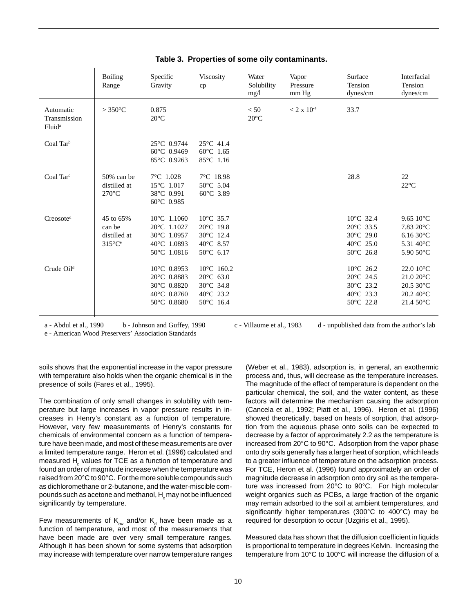|                                                 | <b>Boiling</b><br>Range                                       | Specific<br>Gravity                                                               | Viscosity<br>cp                                                                              | Water<br>Solubility<br>mg/l | Vapor<br>Pressure<br>mm Hg | Surface<br>Tension<br>dynes/cm                                                                                  | Interfacial<br>Tension<br>dynes/cm                                                                      |
|-------------------------------------------------|---------------------------------------------------------------|-----------------------------------------------------------------------------------|----------------------------------------------------------------------------------------------|-----------------------------|----------------------------|-----------------------------------------------------------------------------------------------------------------|---------------------------------------------------------------------------------------------------------|
| Automatic<br>Transmission<br>Fluid <sup>a</sup> | $>350^{\circ}$ C                                              | 0.875<br>$20^{\circ}$ C                                                           |                                                                                              | < 50<br>$20^{\circ}$ C      | $< 2 \times 10^{-4}$       | 33.7                                                                                                            |                                                                                                         |
| Coal Tar <sup>b</sup>                           |                                                               | 25°C 0.9744<br>$60^{\circ}$ C 0.9469<br>85°C 0.9263                               | $25^{\circ}$ C 41.4<br>$60^{\circ}$ C 1.65<br>85°C 1.16                                      |                             |                            |                                                                                                                 |                                                                                                         |
| Coal Tar $c$                                    | 50% can be<br>distilled at<br>$270^{\circ}$ C                 | $7^{\circ}$ C 1.028<br>$15^{\circ}$ C 1.017<br>38°C 0.991<br>$60^{\circ}$ C 0.985 | 7°C 18.98<br>$50^{\circ}$ C 5.04<br>60°C 3.89                                                |                             |                            | 28.8                                                                                                            | 22<br>$22^{\circ}$ C                                                                                    |
| $C$ reosote <sup>d</sup>                        | 45 to 65%<br>can be<br>distilled at<br>$315^{\circ}C^{\circ}$ | $10^{\circ}$ C 1.1060<br>20°C 1.1027<br>30°C 1.0957<br>40°C 1.0893<br>50°C 1.0816 | $10^{\circ}$ C 35.7<br>20°C 19.8<br>30°C 12.4<br>$40^{\circ}$ C 8.57<br>50°C 6.17            |                             |                            | $10^{\circ}$ C 32.4<br>$20^{\circ}$ C 33.5<br>$30^{\circ}$ C 29.0<br>$40^{\circ}$ C 25.0<br>$50^{\circ}$ C 26.8 | 9.65 $10^{\circ}$ C<br>$7.83~20^{\circ}$ C<br>6.16 30 $^{\circ}$ C<br>5.31 40 $^{\circ}$ C<br>5.90 50°C |
| Crude Oil <sup>d</sup>                          |                                                               | 10°C 0.8953<br>20°C 0.8883<br>30°C 0.8820<br>40°C 0.8760<br>50°C 0.8680           | $10^{\circ}$ C 160.2<br>$20^{\circ}$ C 63.0<br>30°C 34.8<br>$40^{\circ}$ C 23.2<br>50°C 16.4 |                             |                            | $10^{\circ}$ C 26.2<br>$20^{\circ}$ C 24.5<br>30°C 23.2<br>$40^{\circ}$ C 23.3<br>50°C 22.8                     | 22.0 10°C<br>$21.020$ °C<br>$20.530$ °C<br>$20.2~40^{\circ}$ C<br>$21.450^{\circ}$ C                    |

# **Table 3. Properties of some oily contaminants.**

a - Abdul et al., 1990 b - Johnson and Guffey, 1990 c - Villaume et al., 1983 d - unpublished data from the author's lab

e - American Wood Preservers' Association Standards

soils shows that the exponential increase in the vapor pressure with temperature also holds when the organic chemical is in the presence of soils (Fares et al., 1995).

The combination of only small changes in solubility with temperature but large increases in vapor pressure results in increases in Henry's constant as a function of temperature. However, very few measurements of Henry's constants for chemicals of environmental concern as a function of temperature have been made, and most of these measurements are over a limited temperature range. Heron et al. (1996) calculated and measured H<sub>c</sub> values for TCE as a function of temperature and found an order of magnitude increase when the temperature was raised from 20°C to 90°C. For the more soluble compounds such as dichloromethane or 2-butanone, and the water-miscible compounds such as acetone and methanol,  $\mathsf{H}_{\mathrm{c}}$  may not be influenced significantly by temperature.

Few measurements of  $\mathsf{K}_{_{\mathrm{ow}}}$  and/or  $\mathsf{K}_{_{\mathrm{d}}}$  have been made as a function of temperature, and most of the measurements that have been made are over very small temperature ranges. Although it has been shown for some systems that adsorption may increase with temperature over narrow temperature ranges

(Weber et al., 1983), adsorption is, in general, an exothermic process and, thus, will decrease as the temperature increases. The magnitude of the effect of temperature is dependent on the particular chemical, the soil, and the water content, as these factors will determine the mechanism causing the adsorption (Cancela et al., 1992; Piatt et al., 1996). Heron et al. (1996) showed theoretically, based on heats of sorption, that adsorption from the aqueous phase onto soils can be expected to decrease by a factor of approximately 2.2 as the temperature is increased from 20°C to 90°C. Adsorption from the vapor phase onto dry soils generally has a larger heat of sorption, which leads to a greater influence of temperature on the adsorption process. For TCE, Heron et al. (1996) found approximately an order of magnitude decrease in adsorption onto dry soil as the temperature was increased from 20°C to 90°C. For high molecular weight organics such as PCBs, a large fraction of the organic may remain adsorbed to the soil at ambient temperatures, and significantly higher temperatures (300°C to 400°C) may be required for desorption to occur (Uzgiris et al., 1995).

Measured data has shown that the diffusion coefficient in liquids is proportional to temperature in degrees Kelvin. Increasing the temperature from 10°C to 100°C will increase the diffusion of a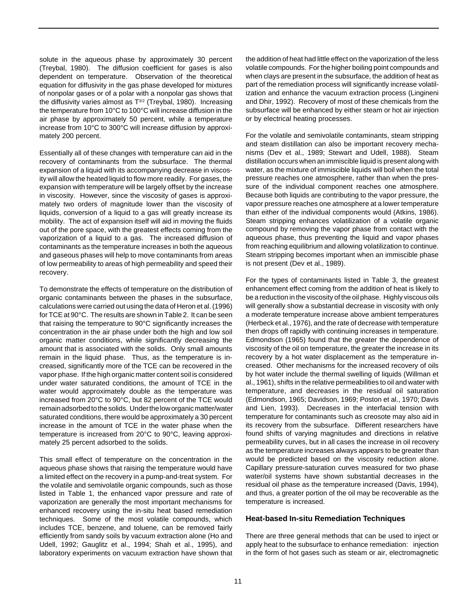solute in the aqueous phase by approximately 30 percent (Treybal, 1980). The diffusion coefficient for gases is also dependent on temperature. Observation of the theoretical equation for diffusivity in the gas phase developed for mixtures of nonpolar gases or of a polar with a nonpolar gas shows that the diffusivity varies almost as  $T^{3/2}$  (Treybal, 1980). Increasing the temperature from 10°C to 100°C will increase diffusion in the air phase by approximately 50 percent, while a temperature increase from 10°C to 300°C will increase diffusion by approximately 200 percent.

Essentially all of these changes with temperature can aid in the recovery of contaminants from the subsurface. The thermal expansion of a liquid with its accompanying decrease in viscosity will allow the heated liquid to flow more readily. For gases, the expansion with temperature will be largely offset by the increase in viscosity. However, since the viscosity of gases is approximately two orders of magnitude lower than the viscosity of liquids, conversion of a liquid to a gas will greatly increase its mobility. The act of expansion itself will aid in moving the fluids out of the pore space, with the greatest effects coming from the vaporization of a liquid to a gas. The increased diffusion of contaminants as the temperature increases in both the aqueous and gaseous phases will help to move contaminants from areas of low permeability to areas of high permeability and speed their recovery.

To demonstrate the effects of temperature on the distribution of organic contaminants between the phases in the subsurface, calculations were carried out using the data of Heron et al. (1996) for TCE at 90°C. The results are shown in Table 2. It can be seen that raising the temperature to 90°C significantly increases the concentration in the air phase under both the high and low soil organic matter conditions, while significantly decreasing the amount that is associated with the solids. Only small amounts remain in the liquid phase. Thus, as the temperature is increased, significantly more of the TCE can be recovered in the vapor phase. If the high organic matter content soil is considered under water saturated conditions, the amount of TCE in the water would approximately double as the temperature was increased from 20°C to 90°C, but 82 percent of the TCE would remain adsorbed to the solids. Under the low organic matter/water saturated conditions, there would be approximately a 30 percent increase in the amount of TCE in the water phase when the temperature is increased from 20°C to 90°C, leaving approximately 25 percent adsorbed to the solids.

This small effect of temperature on the concentration in the aqueous phase shows that raising the temperature would have a limited effect on the recovery in a pump-and-treat system. For the volatile and semivolatile organic compounds, such as those listed in Table 1, the enhanced vapor pressure and rate of vaporization are generally the most important mechanisms for enhanced recovery using the in-situ heat based remediation techniques. Some of the most volatile compounds, which includes TCE, benzene, and toluene, can be removed fairly efficiently from sandy soils by vacuum extraction alone (Ho and Udell, 1992; Gauglitz et al., 1994; Shah et al., 1995), and laboratory experiments on vacuum extraction have shown that

the addition of heat had little effect on the vaporization of the less volatile compounds. For the higher boiling point compounds and when clays are present in the subsurface, the addition of heat as part of the remediation process will significantly increase volatilization and enhance the vacuum extraction process (Lingineni and Dhir, 1992). Recovery of most of these chemicals from the subsurface will be enhanced by either steam or hot air injection or by electrical heating processes.

For the volatile and semivolatile contaminants, steam stripping and steam distillation can also be important recovery mechanisms (Dev et al., 1989; Stewart and Udell, 1988). Steam distillation occurs when an immiscible liquid is present along with water, as the mixture of immiscible liquids will boil when the total pressure reaches one atmosphere, rather than when the pressure of the individual component reaches one atmosphere. Because both liquids are contributing to the vapor pressure, the vapor pressure reaches one atmosphere at a lower temperature than either of the individual components would (Atkins, 1986). Steam stripping enhances volatilization of a volatile organic compound by removing the vapor phase from contact with the aqueous phase, thus preventing the liquid and vapor phases from reaching equilibrium and allowing volatilization to continue. Steam stripping becomes important when an immiscible phase is not present (Dev et al., 1989).

For the types of contaminants listed in Table 3, the greatest enhancement effect coming from the addition of heat is likely to be a reduction in the viscosity of the oil phase. Highly viscous oils will generally show a substantial decrease in viscosity with only a moderate temperature increase above ambient temperatures (Herbeck et al., 1976), and the rate of decrease with temperature then drops off rapidly with continuing increases in temperature. Edmondson (1965) found that the greater the dependence of viscosity of the oil on temperature, the greater the increase in its recovery by a hot water displacement as the temperature increased. Other mechanisms for the increased recovery of oils by hot water include the thermal swelling of liquids (Willman et al., 1961), shifts in the relative permeabilities to oil and water with temperature, and decreases in the residual oil saturation (Edmondson, 1965; Davidson, 1969; Poston et al., 1970; Davis and Lien, 1993). Decreases in the interfacial tension with temperature for contaminants such as creosote may also aid in its recovery from the subsurface. Different researchers have found shifts of varying magnitudes and directions in relative permeability curves, but in all cases the increase in oil recovery as the temperature increases always appears to be greater than would be predicted based on the viscosity reduction alone. Capillary pressure-saturation curves measured for two phase water/oil systems have shown substantial decreases in the residual oil phase as the temperature increased (Davis, 1994), and thus, a greater portion of the oil may be recoverable as the temperature is increased.

# **Heat-based In-situ Remediation Techniques**

There are three general methods that can be used to inject or apply heat to the subsurface to enhance remediation: injection in the form of hot gases such as steam or air, electromagnetic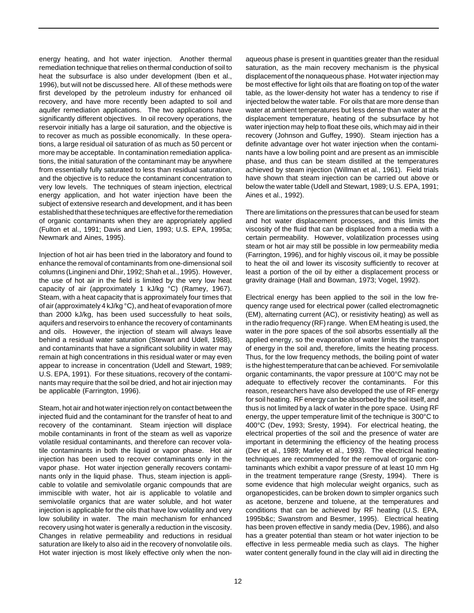energy heating, and hot water injection. Another thermal remediation technique that relies on thermal conduction of soil to heat the subsurface is also under development (Iben et al., 1996), but will not be discussed here. All of these methods were first developed by the petroleum industry for enhanced oil recovery, and have more recently been adapted to soil and aquifer remediation applications. The two applications have significantly different objectives. In oil recovery operations, the reservoir initially has a large oil saturation, and the objective is to recover as much as possible economically. In these operations, a large residual oil saturation of as much as 50 percent or more may be acceptable. In contamination remediation applications, the initial saturation of the contaminant may be anywhere from essentially fully saturated to less than residual saturation, and the objective is to reduce the contaminant concentration to very low levels. The techniques of steam injection, electrical energy application, and hot water injection have been the subject of extensive research and development, and it has been established that these techniques are effective for the remediation of organic contaminants when they are appropriately applied (Fulton et al., 1991; Davis and Lien, 1993; U.S. EPA, 1995a; Newmark and Aines, 1995).

Injection of hot air has been tried in the laboratory and found to enhance the removal of contaminants from one-dimensional soil columns (Lingineni and Dhir, 1992; Shah et al., 1995). However, the use of hot air in the field is limited by the very low heat capacity of air (approximately 1 kJ/kg °C) (Ramey, 1967). Steam, with a heat capacity that is approximately four times that of air (approximately 4 kJ/kg °C), and heat of evaporation of more than 2000 kJ/kg, has been used successfully to heat soils, aquifers and reservoirs to enhance the recovery of contaminants and oils. However, the injection of steam will always leave behind a residual water saturation (Stewart and Udell, 1988), and contaminants that have a significant solubility in water may remain at high concentrations in this residual water or may even appear to increase in concentration (Udell and Stewart, 1989; U.S. EPA, 1991). For these situations, recovery of the contaminants may require that the soil be dried, and hot air injection may be applicable (Farrington, 1996).

Steam, hot air and hot water injection rely on contact between the injected fluid and the contaminant for the transfer of heat to and recovery of the contaminant. Steam injection will displace mobile contaminants in front of the steam as well as vaporize volatile residual contaminants, and therefore can recover volatile contaminants in both the liquid or vapor phase. Hot air injection has been used to recover contaminants only in the vapor phase. Hot water injection generally recovers contaminants only in the liquid phase. Thus, steam injection is applicable to volatile and semivolatile organic compounds that are immiscible with water, hot air is applicable to volatile and semivolatile organics that are water soluble, and hot water injection is applicable for the oils that have low volatility and very low solubility in water. The main mechanism for enhanced recovery using hot water is generally a reduction in the viscosity. Changes in relative permeability and reductions in residual saturation are likely to also aid in the recovery of nonvolatile oils. Hot water injection is most likely effective only when the non-

aqueous phase is present in quantities greater than the residual saturation, as the main recovery mechanism is the physical displacement of the nonaqueous phase. Hot water injection may be most effective for light oils that are floating on top of the water table, as the lower-density hot water has a tendency to rise if injected below the water table. For oils that are more dense than water at ambient temperatures but less dense than water at the displacement temperature, heating of the subsurface by hot water injection may help to float these oils, which may aid in their recovery (Johnson and Guffey, 1990). Steam injection has a definite advantage over hot water injection when the contaminants have a low boiling point and are present as an immiscible phase, and thus can be steam distilled at the temperatures achieved by steam injection (Willman et al., 1961). Field trials have shown that steam injection can be carried out above or below the water table (Udell and Stewart, 1989; U.S. EPA, 1991; Aines et al., 1992).

There are limitations on the pressures that can be used for steam and hot water displacement processes, and this limits the viscosity of the fluid that can be displaced from a media with a certain permeability. However, volatilization processes using steam or hot air may still be possible in low permeability media (Farrington, 1996), and for highly viscous oil, it may be possible to heat the oil and lower its viscosity sufficiently to recover at least a portion of the oil by either a displacement process or gravity drainage (Hall and Bowman, 1973; Vogel, 1992).

Electrical energy has been applied to the soil in the low frequency range used for electrical power (called electromagnetic (EM), alternating current (AC), or resistivity heating) as well as in the radio frequency (RF) range. When EM heating is used, the water in the pore spaces of the soil absorbs essentially all the applied energy, so the evaporation of water limits the transport of energy in the soil and, therefore, limits the heating process. Thus, for the low frequency methods, the boiling point of water is the highest temperature that can be achieved. For semivolatile organic contaminants, the vapor pressure at 100°C may not be adequate to effectively recover the contaminants. For this reason, researchers have also developed the use of RF energy for soil heating. RF energy can be absorbed by the soil itself, and thus is not limited by a lack of water in the pore space. Using RF energy, the upper temperature limit of the technique is 300°C to 400°C (Dev, 1993; Sresty, 1994). For electrical heating, the electrical properties of the soil and the presence of water are important in determining the efficiency of the heating process (Dev et al., 1989; Marley et al., 1993). The electrical heating techniques are recommended for the removal of organic contaminants which exhibit a vapor pressure of at least 10 mm Hg in the treatment temperature range (Sresty, 1994). There is some evidence that high molecular weight organics, such as organopesticides, can be broken down to simpler organics such as acetone, benzene and toluene, at the temperatures and conditions that can be achieved by RF heating (U.S. EPA, 1995b&c; Swanstrom and Besmer, 1995). Electrical heating has been proven effective in sandy media (Dev, 1986), and also has a greater potential than steam or hot water injection to be effective in less permeable media such as clays. The higher water content generally found in the clay will aid in directing the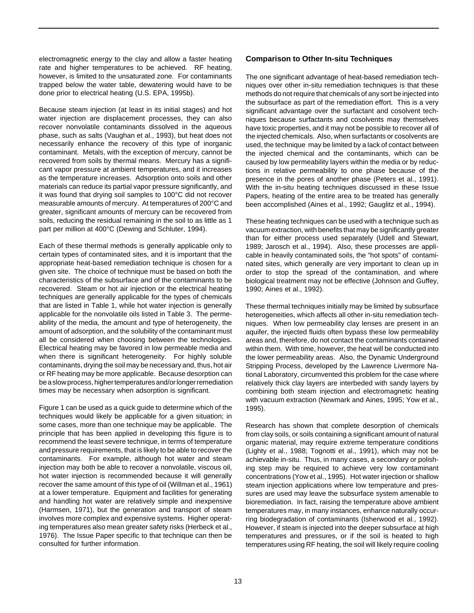electromagnetic energy to the clay and allow a faster heating rate and higher temperatures to be achieved. RF heating, however, is limited to the unsaturated zone. For contaminants trapped below the water table, dewatering would have to be done prior to electrical heating (U.S. EPA, 1995b).

Because steam injection (at least in its initial stages) and hot water injection are displacement processes, they can also recover nonvolatile contaminants dissolved in the aqueous phase, such as salts (Vaughan et al., 1993), but heat does not necessarily enhance the recovery of this type of inorganic contaminant. Metals, with the exception of mercury, cannot be recovered from soils by thermal means. Mercury has a significant vapor pressure at ambient temperatures, and it increases as the temperature increases. Adsorption onto soils and other materials can reduce its partial vapor pressure significantly, and it was found that drying soil samples to 100°C did not recover measurable amounts of mercury. At temperatures of 200°C and greater, significant amounts of mercury can be recovered from soils, reducing the residual remaining in the soil to as little as 1 part per million at 400°C (Dewing and Schluter, 1994).

Each of these thermal methods is generally applicable only to certain types of contaminated sites, and it is important that the appropriate heat-based remediation technique is chosen for a given site. The choice of technique must be based on both the characteristics of the subsurface and of the contaminants to be recovered. Steam or hot air injection or the electrical heating techniques are generally applicable for the types of chemicals that are listed in Table 1, while hot water injection is generally applicable for the nonvolatile oils listed in Table 3. The permeability of the media, the amount and type of heterogeneity, the amount of adsorption, and the solubility of the contaminant must all be considered when choosing between the technologies. Electrical heating may be favored in low permeable media and when there is significant heterogeneity. For highly soluble contaminants, drying the soil may be necessary and, thus, hot air or RF heating may be more applicable. Because desorption can be a slow process, higher temperatures and/or longer remediation times may be necessary when adsorption is significant.

Figure 1 can be used as a quick guide to determine which of the techniques would likely be applicable for a given situation; in some cases, more than one technique may be applicable. The principle that has been applied in developing this figure is to recommend the least severe technique, in terms of temperature and pressure requirements, that is likely to be able to recover the contaminants. For example, although hot water and steam injection may both be able to recover a nonvolatile, viscous oil, hot water injection is recommended because it will generally recover the same amount of this type of oil (Willman et al., 1961) at a lower temperature. Equipment and facilities for generating and handling hot water are relatively simple and inexpensive (Harmsen, 1971), but the generation and transport of steam involves more complex and expensive systems. Higher operating temperatures also mean greater safety risks (Herbeck et al., 1976). The Issue Paper specific to that technique can then be consulted for further information.

## **Comparison to Other In-situ Techniques**

The one significant advantage of heat-based remediation techniques over other in-situ remediation techniques is that these methods do not require that chemicals of any sort be injected into the subsurface as part of the remediation effort. This is a very significant advantage over the surfactant and cosolvent techniques because surfactants and cosolvents may themselves have toxic properties, and it may not be possible to recover all of the injected chemicals. Also, when surfactants or cosolvents are used, the technique may be limited by a lack of contact between the injected chemical and the contaminants, which can be caused by low permeability layers within the media or by reductions in relative permeability to one phase because of the presence in the pores of another phase (Peters et al., 1991). With the in-situ heating techniques discussed in these Issue Papers, heating of the entire area to be treated has generally been accomplished (Aines et al., 1992; Gauglitz et al., 1994).

These heating techniques can be used with a technique such as vacuum extraction, with benefits that may be significantly greater than for either process used separately (Udell and Stewart, 1989; Jarosch et al., 1994). Also, these processes are applicable in heavily contaminated soils, the "hot spots" of contaminated sites, which generally are very important to clean up in order to stop the spread of the contamination, and where biological treatment may not be effective (Johnson and Guffey, 1990; Aines et al., 1992).

These thermal techniques initially may be limited by subsurface heterogeneities, which affects all other in-situ remediation techniques. When low permeability clay lenses are present in an aquifer, the injected fluids often bypass these low permeability areas and, therefore, do not contact the contaminants contained within them. With time, however, the heat will be conducted into the lower permeability areas. Also, the Dynamic Underground Stripping Process, developed by the Lawrence Livermore National Laboratory, circumvented this problem for the case where relatively thick clay layers are interbeded with sandy layers by combining both steam injection and electromagnetic heating with vacuum extraction (Newmark and Aines, 1995; Yow et al., 1995).

Research has shown that complete desorption of chemicals from clay soils, or soils containing a significant amount of natural organic material, may require extreme temperature conditions (Lighty et al., 1988; Tognotti et al., 1991), which may not be achievable in-situ. Thus, in many cases, a secondary or polishing step may be required to achieve very low contaminant concentrations (Yow et al., 1995). Hot water injection or shallow steam injection applications where low temperature and pressures are used may leave the subsurface system amenable to bioremediation. In fact, raising the temperature above ambient temperatures may, in many instances, enhance naturally occurring biodegradation of contaminants (Isherwood et al., 1992). However, if steam is injected into the deeper subsurface at high temperatures and pressures, or if the soil is heated to high temperatures using RF heating, the soil will likely require cooling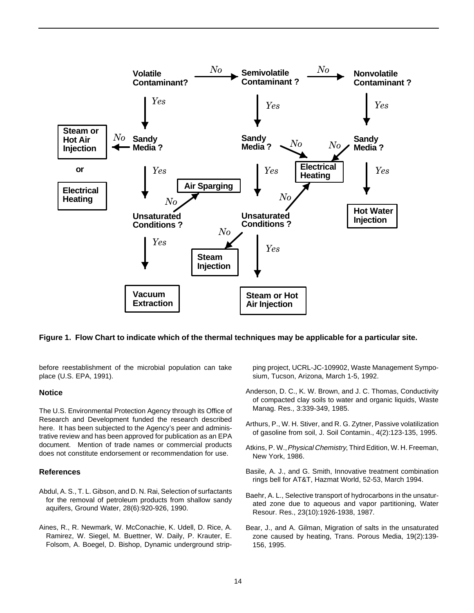

## **Figure 1. Flow Chart to indicate which of the thermal techniques may be applicable for a particular site.**

before reestablishment of the microbial population can take place (U.S. EPA, 1991).

#### **Notice**

The U.S. Environmental Protection Agency through its Office of Research and Development funded the research described here. It has been subjected to the Agency's peer and administrative review and has been approved for publication as an EPA document. Mention of trade names or commercial products does not constitute endorsement or recommendation for use.

## **References**

- Abdul, A. S., T. L. Gibson, and D. N. Rai, Selection of surfactants for the removal of petroleum products from shallow sandy aquifers, Ground Water, 28(6):920-926, 1990.
- Aines, R., R. Newmark, W. McConachie, K. Udell, D. Rice, A. Ramirez, W. Siegel, M. Buettner, W. Daily, P. Krauter, E. Folsom, A. Boegel, D. Bishop, Dynamic underground strip-

ping project, UCRL-JC-109902, Waste Management Symposium, Tucson, Arizona, March 1-5, 1992.

- Anderson, D. C., K. W. Brown, and J. C. Thomas, Conductivity of compacted clay soils to water and organic liquids, Waste Manag. Res., 3:339-349, 1985.
- Arthurs, P., W. H. Stiver, and R. G. Zytner, Passive volatilization of gasoline from soil, J. Soil Contamin., 4(2):123-135, 1995.
- Atkins, P. W., *Physical Chemistry*, Third Edition, W. H. Freeman, New York, 1986.
- Basile, A. J., and G. Smith, Innovative treatment combination rings bell for AT&T, Hazmat World, 52-53, March 1994.
- Baehr, A. L., Selective transport of hydrocarbons in the unsaturated zone due to aqueous and vapor partitioning, Water Resour. Res., 23(10):1926-1938, 1987.
- Bear, J., and A. Gilman, Migration of salts in the unsaturated zone caused by heating, Trans. Porous Media, 19(2):139- 156, 1995.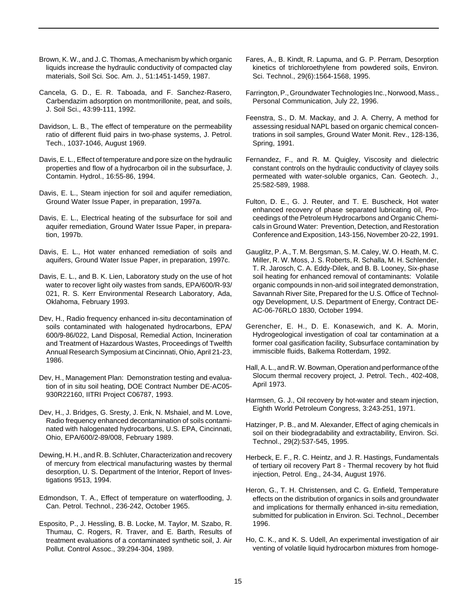- Brown, K. W., and J. C. Thomas, A mechanism by which organic liquids increase the hydraulic conductivity of compacted clay materials, Soil Sci. Soc. Am. J., 51:1451-1459, 1987.
- Cancela, G. D., E. R. Taboada, and F. Sanchez-Rasero, Carbendazim adsorption on montmorillonite, peat, and soils, J. Soil Sci., 43:99-111, 1992.
- Davidson, L. B., The effect of temperature on the permeability ratio of different fluid pairs in two-phase systems, J. Petrol. Tech., 1037-1046, August 1969.
- Davis, E. L., Effect of temperature and pore size on the hydraulic properties and flow of a hydrocarbon oil in the subsurface, J. Contamin. Hydrol., 16:55-86, 1994.
- Davis, E. L., Steam injection for soil and aquifer remediation, Ground Water Issue Paper, in preparation, 1997a.
- Davis, E. L., Electrical heating of the subsurface for soil and aquifer remediation, Ground Water Issue Paper, in preparation, 1997b.
- Davis, E. L., Hot water enhanced remediation of soils and aquifers, Ground Water Issue Paper, in preparation, 1997c.
- Davis, E. L., and B. K. Lien, Laboratory study on the use of hot water to recover light oily wastes from sands, EPA/600/R-93/ 021, R. S. Kerr Environmental Research Laboratory, Ada, Oklahoma, February 1993.
- Dev, H., Radio frequency enhanced in-situ decontamination of soils contaminated with halogenated hydrocarbons, EPA/ 600/9-86/022, Land Disposal, Remedial Action, Incineration and Treatment of Hazardous Wastes, Proceedings of Twelfth Annual Research Symposium at Cincinnati, Ohio, April 21-23, 1986.
- Dev, H., Management Plan: Demonstration testing and evaluation of in situ soil heating, DOE Contract Number DE-AC05- 930R22160, IITRI Project C06787, 1993.
- Dev, H., J. Bridges, G. Sresty, J. Enk, N. Mshaiel, and M. Love, Radio frequency enhanced decontamination of soils contaminated with halogenated hydrocarbons, U.S. EPA, Cincinnati, Ohio, EPA/600/2-89/008, February 1989.
- Dewing, H. H., and R. B. Schluter, Characterization and recovery of mercury from electrical manufacturing wastes by thermal desorption, U. S. Department of the Interior, Report of Investigations 9513, 1994.
- Edmondson, T. A., Effect of temperature on waterflooding, J. Can. Petrol. Technol., 236-242, October 1965.
- Esposito, P., J. Hessling, B. B. Locke, M. Taylor, M. Szabo, R. Thumau, C. Rogers, R. Traver, and E. Barth, Results of treatment evaluations of a contaminated synthetic soil, J. Air Pollut. Control Assoc., 39:294-304, 1989.
- Fares, A., B. Kindt, R. Lapuma, and G. P. Perram, Desorption kinetics of trichloroethylene from powdered soils, Environ. Sci. Technol., 29(6):1564-1568, 1995.
- Farrington, P., Groundwater Technologies Inc., Norwood, Mass., Personal Communication, July 22, 1996.
- Feenstra, S., D. M. Mackay, and J. A. Cherry, A method for assessing residual NAPL based on organic chemical concentrations in soil samples, Ground Water Monit. Rev., 128-136, Spring, 1991.
- Fernandez, F., and R. M. Quigley, Viscosity and dielectric constant controls on the hydraulic conductivity of clayey soils permeated with water-soluble organics, Can. Geotech. J., 25:582-589, 1988.
- Fulton, D. E., G. J. Reuter, and T. E. Buscheck, Hot water enhanced recovery of phase separated lubricating oil, Proceedings of the Petroleum Hydrocarbons and Organic Chemicals in Ground Water: Prevention, Detection, and Restoration Conference and Exposition, 143-156, November 20-22, 1991.
- Gauglitz, P. A., T. M. Bergsman, S. M. Caley, W. O. Heath, M. C. Miller, R. W. Moss, J. S. Roberts, R. Schalla, M. H. Schlender, T. R. Jarosch, C. A. Eddy-Dilek, and B. B. Looney, Six-phase soil heating for enhanced removal of contaminants: Volatile organic compounds in non-arid soil integrated demonstration, Savannah River Site, Prepared for the U.S. Office of Technology Development, U.S. Department of Energy, Contract DE-AC-06-76RLO 1830, October 1994.
- Gerencher, E. H., D. E. Konasewich, and K. A. Morin, Hydrogeological investigation of coal tar contamination at a former coal gasification facility, Subsurface contamination by immiscible fluids, Balkema Rotterdam, 1992.
- Hall, A. L., and R. W. Bowman, Operation and performance of the Slocum thermal recovery project, J. Petrol. Tech., 402-408, April 1973.
- Harmsen, G. J., Oil recovery by hot-water and steam injection, Eighth World Petroleum Congress, 3:243-251, 1971.
- Hatzinger, P. B., and M. Alexander, Effect of aging chemicals in soil on their biodegradability and extractability, Environ. Sci. Technol., 29(2):537-545, 1995.
- Herbeck, E. F., R. C. Heintz, and J. R. Hastings, Fundamentals of tertiary oil recovery Part 8 - Thermal recovery by hot fluid injection, Petrol. Eng., 24-34, August 1976.
- Heron, G., T. H. Christensen, and C. G. Enfield, Temperature effects on the distribution of organics in soils and groundwater and implications for thermally enhanced in-situ remediation, submitted for publication in Environ. Sci. Technol., December 1996.
- Ho, C. K., and K. S. Udell, An experimental investigation of air venting of volatile liquid hydrocarbon mixtures from homoge-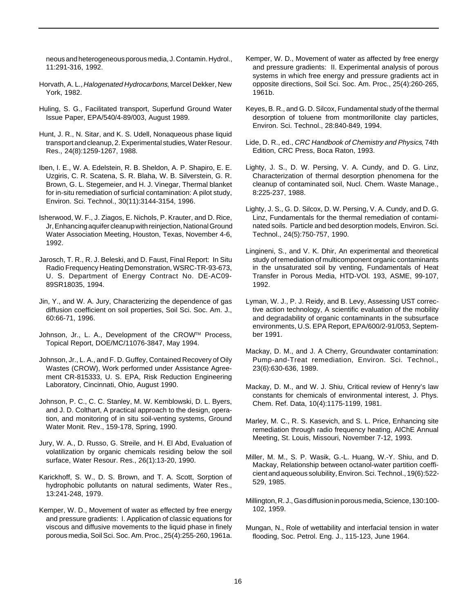neous and heterogeneous porous media, J. Contamin. Hydrol., 11:291-316, 1992.

- Horvath, A. L., Halogenated Hydrocarbons, Marcel Dekker, New York, 1982.
- Huling, S. G., Facilitated transport, Superfund Ground Water Issue Paper, EPA/540/4-89/003, August 1989.
- Hunt, J. R., N. Sitar, and K. S. Udell, Nonaqueous phase liquid transport and cleanup, 2. Experimental studies, Water Resour. Res., 24(8):1259-1267, 1988.
- Iben, I. E., W. A. Edelstein, R. B. Sheldon, A. P. Shapiro, E. E. Uzgiris, C. R. Scatena, S. R. Blaha, W. B. Silverstein, G. R. Brown, G. L. Stegemeier, and H. J. Vinegar, Thermal blanket for in-situ remediation of surficial contamination: A pilot study, Environ. Sci. Technol., 30(11):3144-3154, 1996.
- Isherwood, W. F., J. Ziagos, E. Nichols, P. Krauter, and D. Rice, Jr, Enhancing aquifer cleanup with reinjection, National Ground Water Association Meeting, Houston, Texas, November 4-6, 1992.
- Jarosch, T. R., R. J. Beleski, and D. Faust, Final Report: In Situ Radio Frequency Heating Demonstration, WSRC-TR-93-673, U. S. Department of Energy Contract No. DE-AC09- 89SR18035, 1994.
- Jin, Y., and W. A. Jury, Characterizing the dependence of gas diffusion coefficient on soil properties, Soil Sci. Soc. Am. J., 60:66-71, 1996.
- Johnson, Jr., L. A., Development of the CROWTM Process, Topical Report, DOE/MC/11076-3847, May 1994.
- Johnson, Jr., L. A., and F. D. Guffey, Contained Recovery of Oily Wastes (CROW), Work performed under Assistance Agreement CR-815333, U. S. EPA, Risk Reduction Engineering Laboratory, Cincinnati, Ohio, August 1990.
- Johnson, P. C., C. C. Stanley, M. W. Kemblowski, D. L. Byers, and J. D. Colthart, A practical approach to the design, operation, and monitoring of in situ soil-venting systems, Ground Water Monit. Rev., 159-178, Spring, 1990.
- Jury, W. A., D. Russo, G. Streile, and H. El Abd, Evaluation of volatilization by organic chemicals residing below the soil surface, Water Resour. Res., 26(1):13-20, 1990.
- Karickhoff, S. W., D. S. Brown, and T. A. Scott, Sorption of hydrophobic pollutants on natural sediments, Water Res., 13:241-248, 1979.
- Kemper, W. D., Movement of water as effected by free energy and pressure gradients: I. Application of classic equations for viscous and diffusive movements to the liquid phase in finely porous media, Soil Sci. Soc. Am. Proc., 25(4):255-260, 1961a.
- Kemper, W. D., Movement of water as affected by free energy and pressure gradients: II. Experimental analysis of porous systems in which free energy and pressure gradients act in opposite directions, Soil Sci. Soc. Am. Proc., 25(4):260-265, 1961b.
- Keyes, B. R., and G. D. Silcox, Fundamental study of the thermal desorption of toluene from montmorillonite clay particles, Environ. Sci. Technol., 28:840-849, 1994.
- Lide, D. R., ed., CRC Handbook of Chemistry and Physics, 74th Edition, CRC Press, Boca Raton, 1993.
- Lighty, J. S., D. W. Persing, V. A. Cundy, and D. G. Linz, Characterization of thermal desorption phenomena for the cleanup of contaminated soil, Nucl. Chem. Waste Manage., 8:225-237, 1988.
- Lighty, J. S., G. D. Silcox, D. W. Persing, V. A. Cundy, and D. G. Linz, Fundamentals for the thermal remediation of contaminated soils. Particle and bed desorption models, Environ. Sci. Technol., 24(5):750-757, 1990.
- Lingineni, S., and V. K. Dhir, An experimental and theoretical study of remediation of multicomponent organic contaminants in the unsaturated soil by venting, Fundamentals of Heat Transfer in Porous Media, HTD-VOl. 193, ASME, 99-107, 1992.
- Lyman, W. J., P. J. Reidy, and B. Levy, Assessing UST corrective action technology, A scientific evaluation of the mobility and degradability of organic contaminants in the subsurface environments, U.S. EPA Report, EPA/600/2-91/053, September 1991.
- Mackay, D. M., and J. A Cherry, Groundwater contamination: Pump-and-Treat remediation, Environ. Sci. Technol., 23(6):630-636, 1989.
- Mackay, D. M., and W. J. Shiu, Critical review of Henry's law constants for chemicals of environmental interest, J. Phys. Chem. Ref. Data, 10(4):1175-1199, 1981.
- Marley, M. C., R. S. Kasevich, and S. L. Price, Enhancing site remediation through radio frequency heating, AIChE Annual Meeting, St. Louis, Missouri, November 7-12, 1993.
- Miller, M. M., S. P. Wasik, G.-L. Huang, W.-Y. Shiu, and D. Mackay, Relationship between octanol-water partition coefficient and aqueous solubility, Environ. Sci. Technol., 19(6):522- 529, 1985.
- Millington, R. J., Gas diffusion in porous media, Science, 130:100- 102, 1959.
- Mungan, N., Role of wettability and interfacial tension in water flooding, Soc. Petrol. Eng. J., 115-123, June 1964.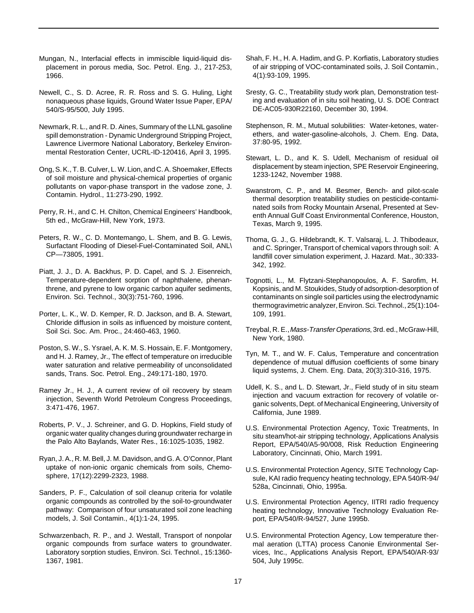- Mungan, N., Interfacial effects in immiscible liquid-liquid displacement in porous media, Soc. Petrol. Eng. J., 217-253, 1966.
- Newell, C., S. D. Acree, R. R. Ross and S. G. Huling, Light nonaqueous phase liquids, Ground Water Issue Paper, EPA/ 540/S-95/500, July 1995.
- Newmark, R. L., and R. D. Aines, Summary of the LLNL gasoline spill demonstration - Dynamic Underground Stripping Project, Lawrence Livermore National Laboratory, Berkeley Environmental Restoration Center, UCRL-ID-120416, April 3, 1995.
- Ong, S. K., T. B. Culver, L. W. Lion, and C. A. Shoemaker, Effects of soil moisture and physical-chemical properties of organic pollutants on vapor-phase transport in the vadose zone, J. Contamin. Hydrol., 11:273-290, 1992.
- Perry, R. H., and C. H. Chilton, Chemical Engineers' Handbook, 5th ed., McGraw-Hill, New York, 1973.
- Peters, R. W., C. D. Montemango, L. Shem, and B. G. Lewis, Surfactant Flooding of Diesel-Fuel-Contaminated Soil, ANL\ CP—73805, 1991.
- Piatt, J. J., D. A. Backhus, P. D. Capel, and S. J. Eisenreich, Temperature-dependent sorption of naphthalene, phenanthrene, and pyrene to low organic carbon aquifer sediments, Environ. Sci. Technol., 30(3):751-760, 1996.
- Porter, L. K., W. D. Kemper, R. D. Jackson, and B. A. Stewart, Chloride diffusion in soils as influenced by moisture content, Soil Sci. Soc. Am. Proc., 24:460-463, 1960.
- Poston, S. W., S. Ysrael, A. K. M. S. Hossain, E. F. Montgomery, and H. J. Ramey, Jr., The effect of temperature on irreducible water saturation and relative permeability of unconsolidated sands, Trans. Soc. Petrol. Eng., 249:171-180, 1970.
- Ramey Jr., H. J., A current review of oil recovery by steam injection, Seventh World Petroleum Congress Proceedings, 3:471-476, 1967.
- Roberts, P. V., J. Schreiner, and G. D. Hopkins, Field study of organic water quality changes during groundwater recharge in the Palo Alto Baylands, Water Res., 16:1025-1035, 1982.
- Ryan, J. A., R. M. Bell, J. M. Davidson, and G. A. O'Connor, Plant uptake of non-ionic organic chemicals from soils, Chemosphere, 17(12):2299-2323, 1988.
- Sanders, P. F., Calculation of soil cleanup criteria for volatile organic compounds as controlled by the soil-to-groundwater pathway: Comparison of four unsaturated soil zone leaching models, J. Soil Contamin., 4(1):1-24, 1995.
- Schwarzenbach, R. P., and J. Westall, Transport of nonpolar organic compounds from surface waters to groundwater. Laboratory sorption studies, Environ. Sci. Technol., 15:1360- 1367, 1981.
- Shah, F. H., H. A. Hadim, and G. P. Korfiatis, Laboratory studies of air stripping of VOC-contaminated soils, J. Soil Contamin., 4(1):93-109, 1995.
- Sresty, G. C., Treatability study work plan, Demonstration testing and evaluation of in situ soil heating, U. S. DOE Contract DE-AC05-930R22160, December 30, 1994.
- Stephenson, R. M., Mutual solubilities: Water-ketones, waterethers, and water-gasoline-alcohols, J. Chem. Eng. Data, 37:80-95, 1992.
- Stewart, L. D., and K. S. Udell, Mechanism of residual oil displacement by steam injection, SPE Reservoir Engineering, 1233-1242, November 1988.
- Swanstrom, C. P., and M. Besmer, Bench- and pilot-scale thermal desorption treatability studies on pesticide-contaminated soils from Rocky Mountain Arsenal, Presented at Seventh Annual Gulf Coast Environmental Conference, Houston, Texas, March 9, 1995.
- Thoma, G. J., G. Hildebrandt, K. T. Valsaraj, L. J. Thibodeaux, and C. Springer, Transport of chemical vapors through soil: A landfill cover simulation experiment, J. Hazard. Mat., 30:333- 342, 1992.
- Tognotti, L., M. Flytzani-Stephanopoulos, A. F. Sarofim, H. Kopsinis, and M. Stoukides, Study of adsorption-desorption of contaminants on single soil particles using the electrodynamic thermogravimetric analyzer, Environ. Sci. Technol., 25(1):104- 109, 1991.
- Treybal, R. E., Mass-Transfer Operations, 3rd. ed., McGraw-Hill, New York, 1980.
- Tyn, M. T., and W. F. Calus, Temperature and concentration dependence of mutual diffusion coefficients of some binary liquid systems, J. Chem. Eng. Data, 20(3):310-316, 1975.
- Udell, K. S., and L. D. Stewart, Jr., Field study of in situ steam injection and vacuum extraction for recovery of volatile organic solvents, Dept. of Mechanical Engineering, University of California, June 1989.
- U.S. Environmental Protection Agency, Toxic Treatments, In situ steam/hot-air stripping technology, Applications Analysis Report, EPA/540/A5-90/008, Risk Reduction Engineering Laboratory, Cincinnati, Ohio, March 1991.
- U.S. Environmental Protection Agency, SITE Technology Capsule, KAI radio frequency heating technology, EPA 540/R-94/ 528a, Cincinnati, Ohio, 1995a.
- U.S. Environmental Protection Agency, IITRI radio frequency heating technology, Innovative Technology Evaluation Report, EPA/540/R-94/527, June 1995b.
- U.S. Environmental Protection Agency, Low temperature thermal aeration (LTTA) process Canonie Environmental Services, Inc., Applications Analysis Report, EPA/540/AR-93/ 504, July 1995c.